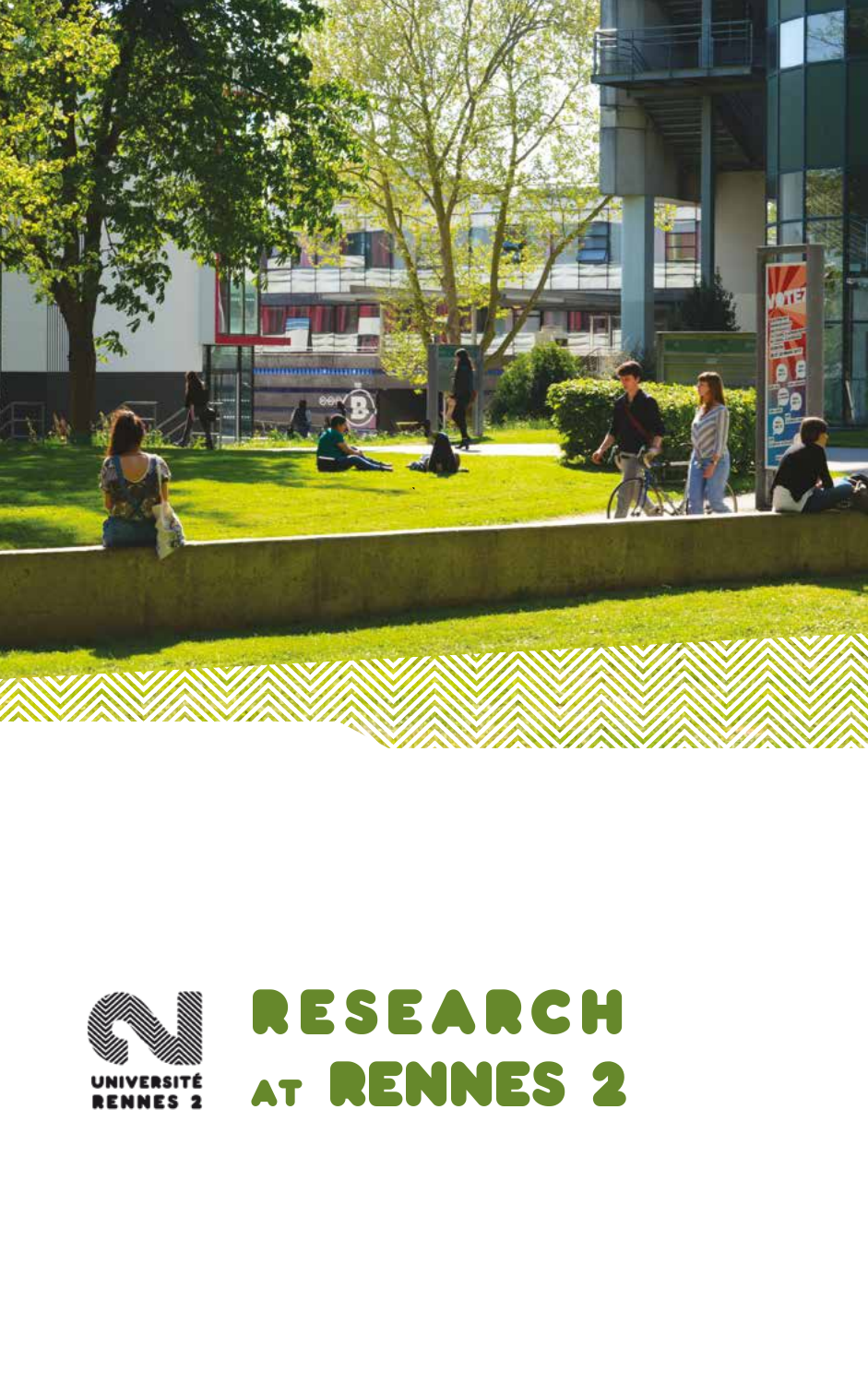

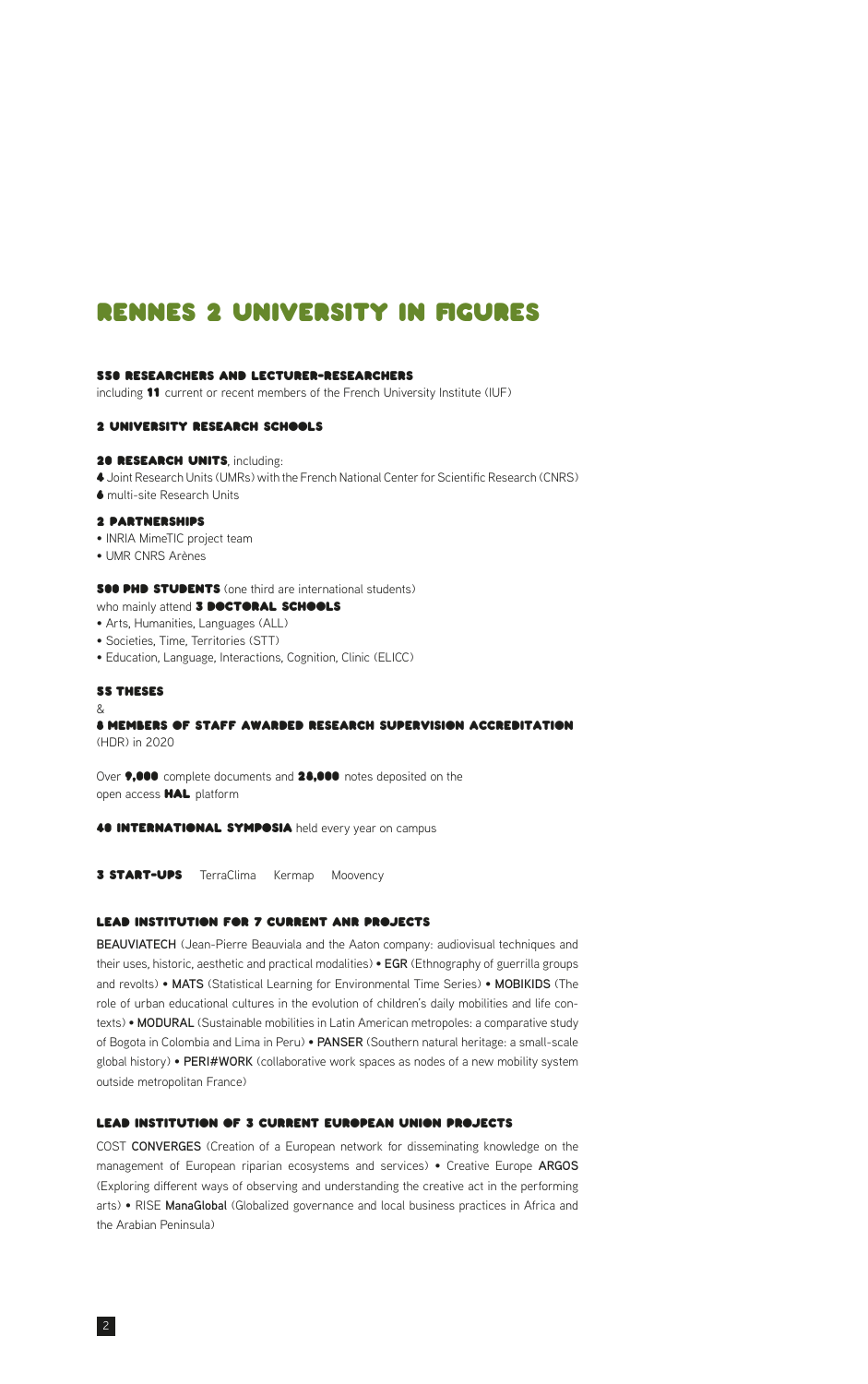# Rennes 2 University in figures

#### 550 researchers and lecturer-researchers

including 11 current or recent members of the French University Institute (IUF)

### 2 University Research Schools

#### 20 RESEARCH UNITS, including:

4 Joint Research Units (UMRs) with the French National Center for Scientific Research (CNRS) 6 multi-site Research Units

#### 2 partnerships

- INRIA MimeTIC project team
- UMR CNRS Arènes

#### **S00 PHD STUDENTS** (one third are international students) who mainly attend 3 DOCTORAL SCHOOLS

- Arts, Humanities, Languages (ALL)
- Societies, Time, Territories (STT)
- Education, Language, Interactions, Cognition, Clinic (ELICC)

#### 55 theses

#### &

#### 8 members of staff awarded research supervision accreditation (HDR) in 2020

Over  $\bullet,\bullet\bullet\bullet$  complete documents and 28,000 notes deposited on the open access HAL platform

40 INTERNATIONAL SYMPOSIA held every year on campus

**3 START-UPS** TerraClima Kermap Moovency

## lead institution for 7 current ANR projects

**BEAUVIATECH** (Jean-Pierre Beauviala and the Aaton company: audiovisual techniques and their uses, historic, aesthetic and practical modalities) • **EGR** (Ethnography of guerrilla groups and revolts) • **MATS** (Statistical Learning for Environmental Time Series) • **MOBIKIDS** (The role of urban educational cultures in the evolution of children's daily mobilities and life contexts) • **MODURAL** (Sustainable mobilities in Latin American metropoles: a comparative study of Bogota in Colombia and Lima in Peru) • **PANSER** (Southern natural heritage: a small-scale global history) • **PERI#WORK** (collaborative work spaces as nodes of a new mobility system outside metropolitan France)

# lead institution of 3 current European Union projects

COST **CONVERGES** (Creation of a European network for disseminating knowledge on the management of European riparian ecosystems and services) • Creative Europe **ARGOS** (Exploring different ways of observing and understanding the creative act in the performing arts) • RISE **ManaGlobal** (Globalized governance and local business practices in Africa and the Arabian Peninsula)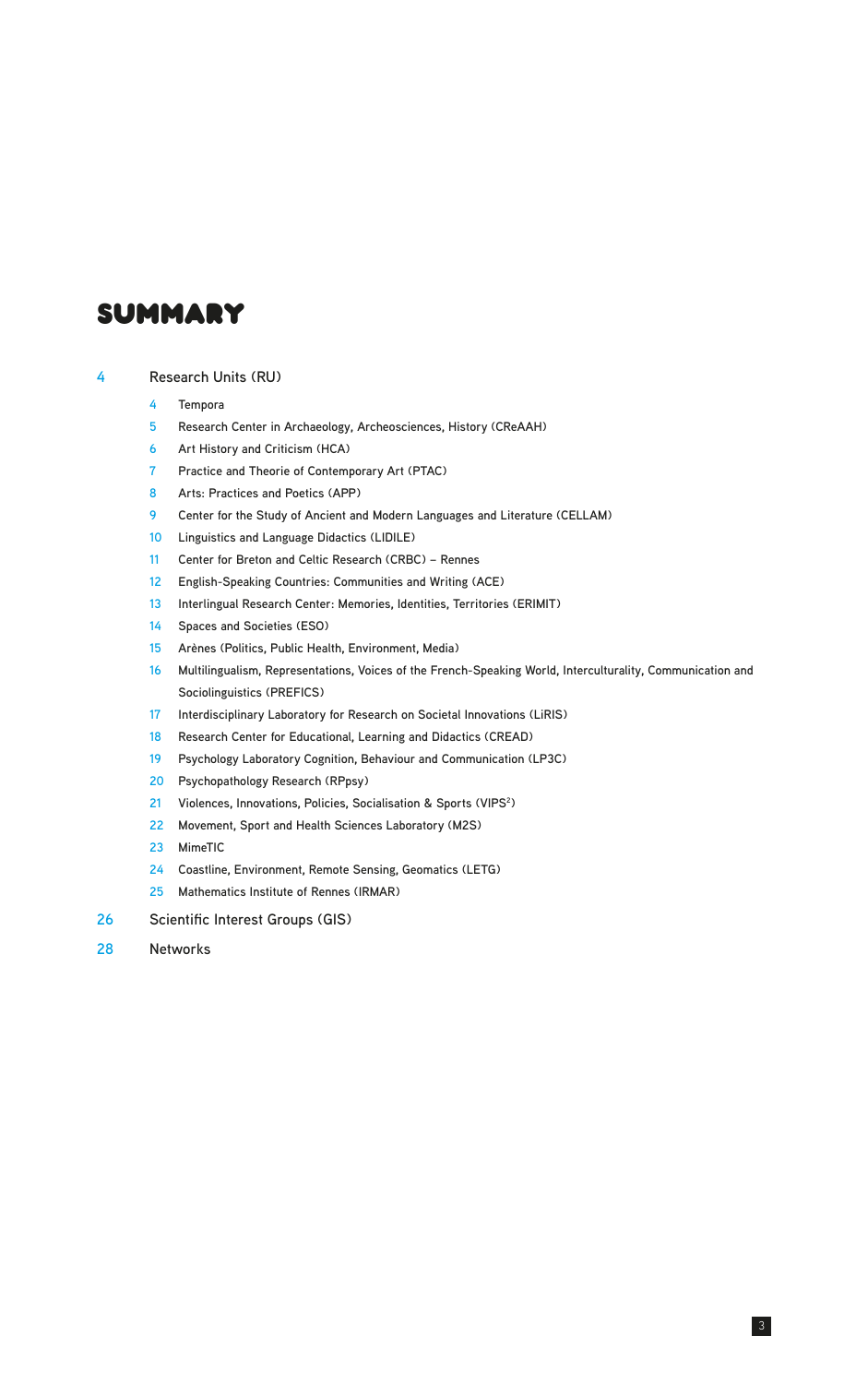# summary

### **Research Units (RU)**

- **Tempora**
- **Research Center in Archaeology, Archeosciences, History (CReAAH)**
- **Art History and Criticism (HCA)**
- **Practice and Theorie of Contemporary Art (PTAC)**
- **Arts: Practices and Poetics (APP)**
- **Center for the Study of Ancient and Modern Languages and Literature (CELLAM)**
- **Linguistics and Language Didactics (LIDILE)**
- **Center for Breton and Celtic Research (CRBC) Rennes**
- **English-Speaking Countries: Communities and Writing (ACE)**
- **Interlingual Research Center: Memories, Identities, Territories (ERIMIT)**
- **Spaces and Societies (ESO)**
- **Arènes (Politics, Public Health, Environment, Media)**
- **Multilingualism, Representations, Voices of the French-Speaking World, Interculturality, Communication and Sociolinguistics (PREFICS)**

- **Interdisciplinary Laboratory for Research on Societal Innovations (LiRIS)**
- **Research Center for Educational, Learning and Didactics (CREAD)**
- **Psychology Laboratory Cognition, Behaviour and Communication (LP3C)**
- **Psychopathology Research (RPpsy)**
- **Violences, Innovations, Policies, Socialisation & Sports (VIPS2 )**
- **Movement, Sport and Health Sciences Laboratory (M2S)**
- **MimeTIC**
- **Coastline, Environment, Remote Sensing, Geomatics (LETG)**
- **Mathematics Institute of Rennes (IRMAR)**
- **Scientific Interest Groups (GIS)**
- **Networks**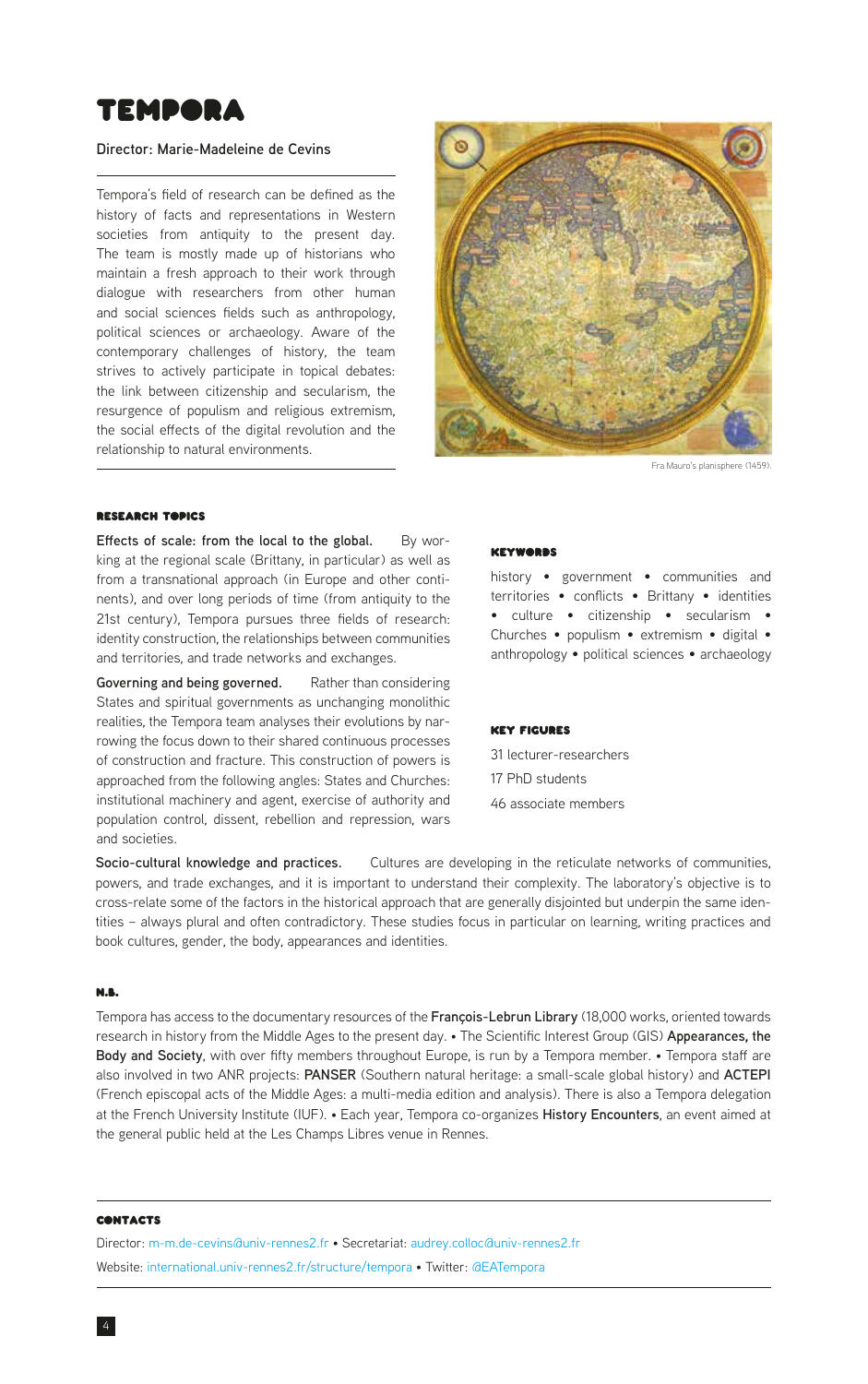<span id="page-3-0"></span>

#### **Director: Marie-Madeleine de Cevins**

Tempora's field of research can be defined as the history of facts and representations in Western societies from antiquity to the present day. The team is mostly made up of historians who maintain a fresh approach to their work through dialogue with researchers from other human and social sciences fields such as anthropology, political sciences or archaeology. Aware of the contemporary challenges of history, the team strives to actively participate in topical debates: the link between citizenship and secularism, the resurgence of populism and religious extremism, the social effects of the digital revolution and the relationship to natural environments.



Fra Mauro's planisphere (1459).

### Research Topics

**Effects of scale: from the local to the global.** By working at the regional scale (Brittany, in particular) as well as from a transnational approach (in Europe and other continents), and over long periods of time (from antiquity to the 21st century), Tempora pursues three fields of research: identity construction, the relationships between communities and territories, and trade networks and exchanges.

**Governing and being governed.** Rather than considering States and spiritual governments as unchanging monolithic realities, the Tempora team analyses their evolutions by narrowing the focus down to their shared continuous processes of construction and fracture. This construction of powers is approached from the following angles: States and Churches: institutional machinery and agent, exercise of authority and population control, dissent, rebellion and repression, wars and societies.

#### Keywords

history • government • communities and territories • conflicts • Brittany • identities • culture • citizenship • secularism • Churches • populism • extremism • digital • anthropology • political sciences • archaeology

#### Key Figures

31 lecturer-researchers 17 PhD students

46 associate members

**Socio-cultural knowledge and practices.** Cultures are developing in the reticulate networks of communities, powers, and trade exchanges, and it is important to understand their complexity. The laboratory's objective is to cross-relate some of the factors in the historical approach that are generally disjointed but underpin the same identities – always plural and often contradictory. These studies focus in particular on learning, writing practices and book cultures, gender, the body, appearances and identities.

#### N.B.

Tempora has access to the documentary resources of the **François-Lebrun Library** (18,000 works, oriented towards research in history from the Middle Ages to the present day. • The Scientific Interest Group (GIS) **Appearances, the Body and Society**, with over fifty members throughout Europe, is run by a Tempora member. • Tempora staff are also involved in two ANR projects: **PANSER** (Southern natural heritage: a small-scale global history) and **ACTEPI** (French episcopal acts of the Middle Ages: a multi-media edition and analysis). There is also a Tempora delegation at the French University Institute (IUF). • Each year, Tempora co-organizes **History Encounters**, an event aimed at the general public held at the Les Champs Libres venue in Rennes.

#### **CONTACTS**

Director: [m-m.de-cevins@univ-rennes2.fr](mailto:m-m.de-cevins%40univ-rennes2.fr?subject=) • Secretariat: [audrey.colloc@univ-rennes2.fr](mailto:audrey.colloc%40univ-rennes2.fr?subject=) Website: [international.univ-rennes2.fr/structure/tempora](https://international.univ-rennes2.fr/structure/tempora) • Twitter: [@EATempora](https://twitter.com/EATempora)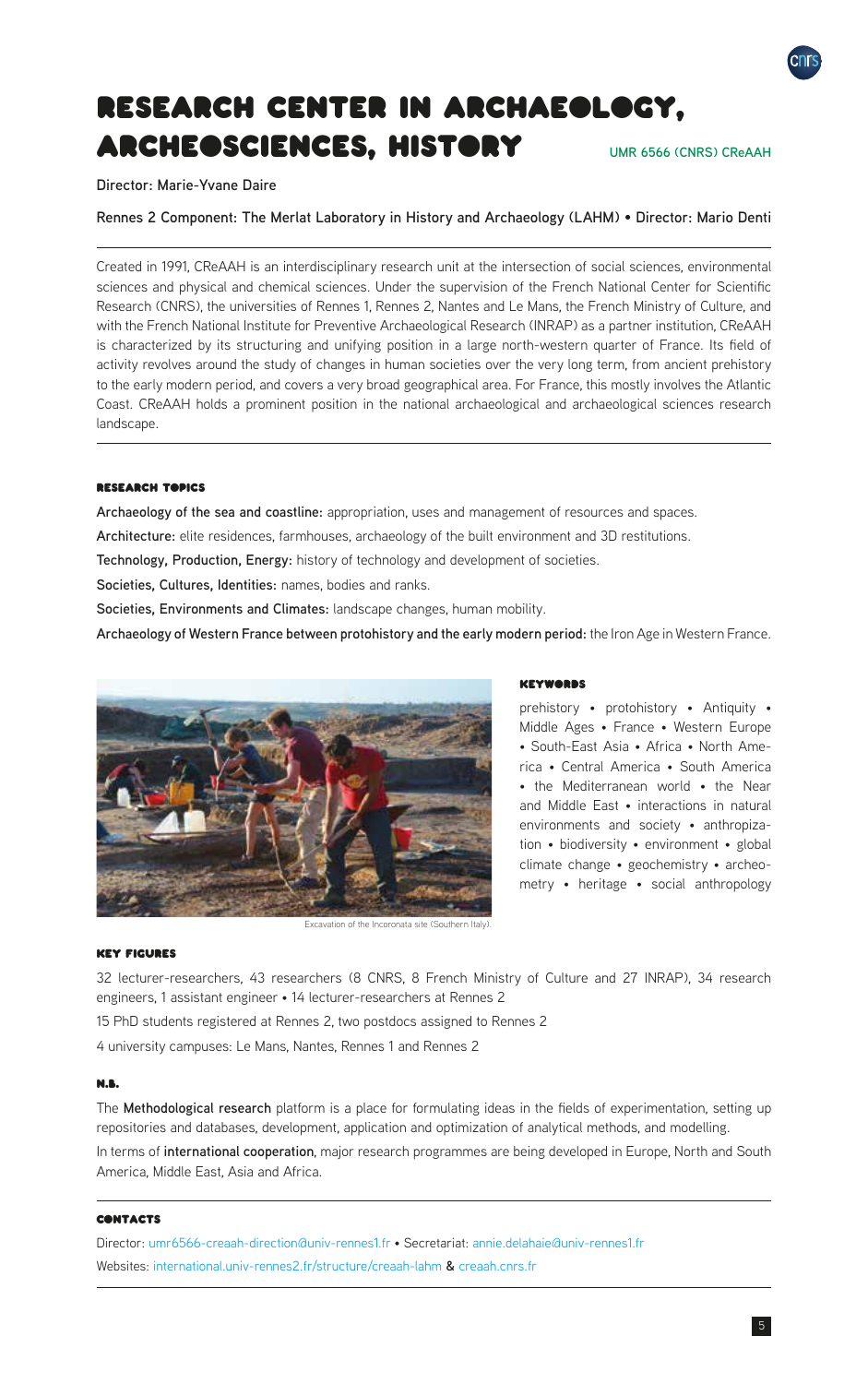<span id="page-4-0"></span>

**Director: Marie-Yvane Daire**

**Rennes 2 Component: The Merlat Laboratory in History and Archaeology (LAHM)** • **Director: Mario Denti**

Created in 1991, CReAAH is an interdisciplinary research unit at the intersection of social sciences, environmental sciences and physical and chemical sciences. Under the supervision of the French National Center for Scientific Research (CNRS), the universities of Rennes 1, Rennes 2, Nantes and Le Mans, the French Ministry of Culture, and with the French National Institute for Preventive Archaeological Research (INRAP) as a partner institution, CReAAH is characterized by its structuring and unifying position in a large north-western quarter of France. Its field of activity revolves around the study of changes in human societies over the very long term, from ancient prehistory to the early modern period, and covers a very broad geographical area. For France, this mostly involves the Atlantic Coast. CReAAH holds a prominent position in the national archaeological and archaeological sciences research landscape.

#### **RESEARCH TABICS**

**Archaeology of the sea and coastline:** appropriation, uses and management of resources and spaces.

**Architecture:** elite residences, farmhouses, archaeology of the built environment and 3D restitutions.

**Technology, Production, Energy:** history of technology and development of societies.

**Societies, Cultures, Identities:** names, bodies and ranks.

**Societies, Environments and Climates:** landscape changes, human mobility.

**Archaeology of Western France between protohistory and the early modern period:** the Iron Age in Western France.



Excavation of the Incoronata site (Southern Italy).

# **KEYWORDS**

prehistory • protohistory • Antiquity • Middle Ages • France • Western Europe • South-East Asia • Africa • North America • Central America • South America • the Mediterranean world • the Near and Middle East • interactions in natural environments and society • anthropization • biodiversity • environment • global climate change • geochemistry • archeometry • heritage • social anthropology

#### Key Figures

32 lecturer-researchers, 43 researchers (8 CNRS, 8 French Ministry of Culture and 27 INRAP), 34 research engineers, 1 assistant engineer • 14 lecturer-researchers at Rennes 2

15 PhD students registered at Rennes 2, two postdocs assigned to Rennes 2

4 university campuses: Le Mans, Nantes, Rennes 1 and Rennes 2

# N.B.

The **Methodological research** platform is a place for formulating ideas in the fields of experimentation, setting up repositories and databases, development, application and optimization of analytical methods, and modelling.

In terms of **international cooperation**, major research programmes are being developed in Europe, North and South America, Middle East, Asia and Africa.

#### **CONTACTS**

Director: [umr6566-creaah-direction@univ-rennes1.fr](mailto:umr6566-creaah-direction%40univ-rennes1.fr?subject=) • Secretariat: [annie.delahaie@univ-rennes1.fr](mailto:annie.delahaie%40univ-rennes1.fr?subject=) Websites: [international.univ-rennes2.fr/structure/creaah-lahm](https://international.univ-rennes2.fr/structure/creaah-lahm) **&** [creaah.cnrs.fr](https://creaah.cnrs.fr)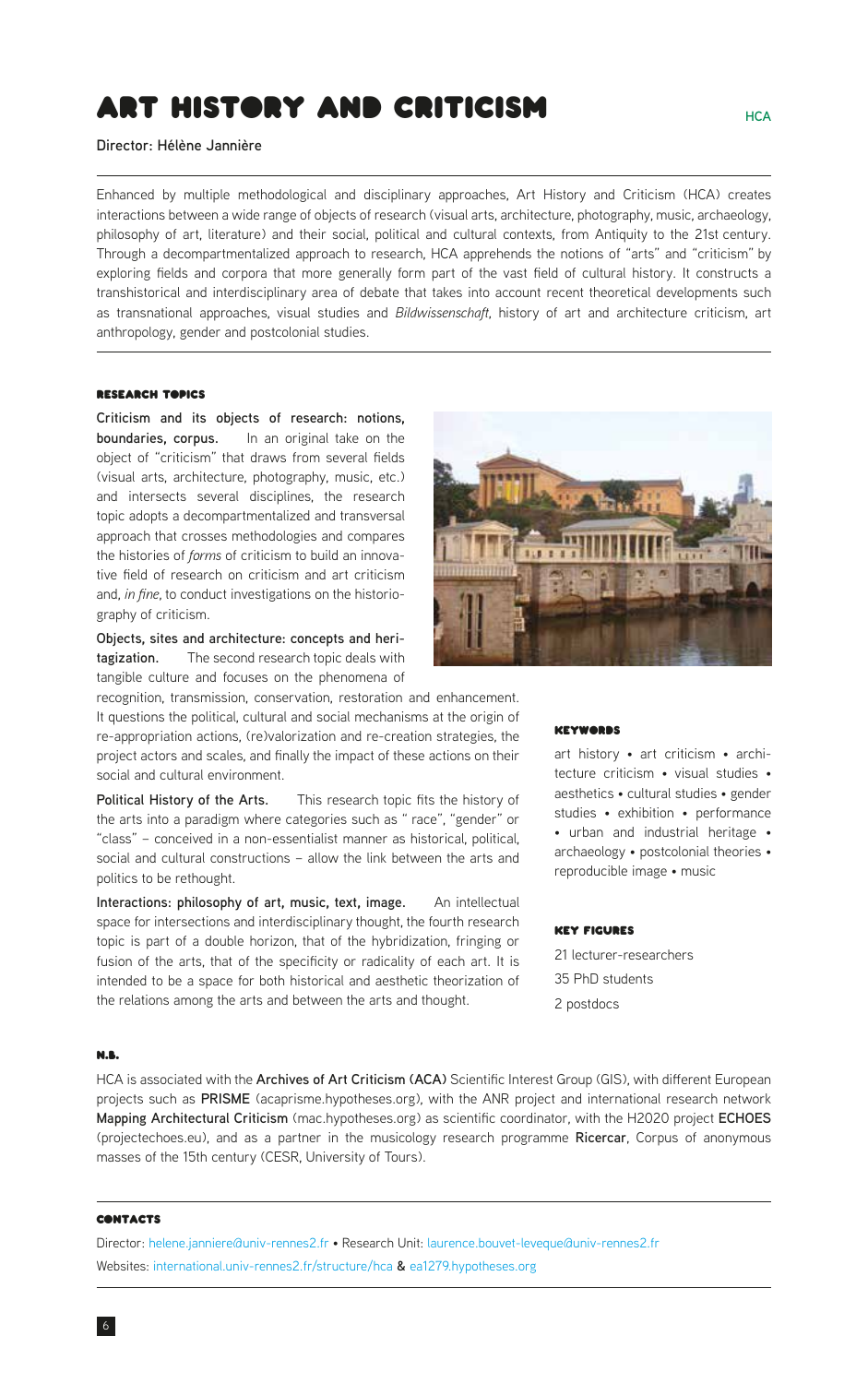# <span id="page-5-0"></span>Art History and Criticism

**Director: Hélène Jannière**

Enhanced by multiple methodological and disciplinary approaches, Art History and Criticism (HCA) creates interactions between a wide range of objects of research (visual arts, architecture, photography, music, archaeology, philosophy of art, literature) and their social, political and cultural contexts, from Antiquity to the 21st century. Through a decompartmentalized approach to research, HCA apprehends the notions of "arts" and "criticism" by exploring fields and corpora that more generally form part of the vast field of cultural history. It constructs a transhistorical and interdisciplinary area of debate that takes into account recent theoretical developments such as transnational approaches, visual studies and *Bildwissenschaft*, history of art and architecture criticism, art anthropology, gender and postcolonial studies.

# Research Topics

**Criticism and its objects of research: notions, boundaries, corpus.** In an original take on the object of "criticism" that draws from several fields (visual arts, architecture, photography, music, etc.) and intersects several disciplines, the research topic adopts a decompartmentalized and transversal approach that crosses methodologies and compares the histories of *forms* of criticism to build an innovative field of research on criticism and art criticism and, *in fine*, to conduct investigations on the historiography of criticism.

**Objects, sites and architecture: concepts and heritagization.** The second research topic deals with tangible culture and focuses on the phenomena of

recognition, transmission, conservation, restoration and enhancement. It questions the political, cultural and social mechanisms at the origin of re-appropriation actions, (re)valorization and re-creation strategies, the project actors and scales, and finally the impact of these actions on their social and cultural environment.

**Political History of the Arts.** This research topic fits the history of the arts into a paradigm where categories such as " race", "gender" or "class" – conceived in a non-essentialist manner as historical, political, social and cultural constructions – allow the link between the arts and politics to be rethought.

**Interactions: philosophy of art, music, text, image.** An intellectual space for intersections and interdisciplinary thought, the fourth research topic is part of a double horizon, that of the hybridization, fringing or fusion of the arts, that of the specificity or radicality of each art. It is intended to be a space for both historical and aesthetic theorization of the relations among the arts and between the arts and thought.



#### **KEYWORDS**

art history • art criticism • architecture criticism • visual studies • aesthetics • cultural studies • gender studies • exhibition • performance • urban and industrial heritage • archaeology • postcolonial theories • reproducible image • music

#### Key Figures

21 lecturer-researchers 35 PhD students 2 postdocs

## N.B.

HCA is associated with the **Archives of Art Criticism (ACA)** Scientific Interest Group (GIS), with different European projects such as **PRISME** (acaprisme.hypotheses.org), with the ANR project and international research network **Mapping Architectural Criticism** (mac.hypotheses.org) as scientific coordinator, with the H2020 project **ECHOES** (projectechoes.eu), and as a partner in the musicology research programme **Ricercar**, Corpus of anonymous masses of the 15th century (CESR, University of Tours).

#### **CONTACTS**

Director: [helene.janniere@univ-rennes2.fr](mailto:helene.janniere%40univ-rennes2.fr?subject=) • Research Unit: [laurence.bouvet-leveque@univ-rennes2.fr](mailto:laurence.bouvet-leveque%40univ-rennes2.fr?subject=) Websites: [international.univ-rennes2.fr/structure/hca](https://international.univ-rennes2.fr/structure/hca) **&** [ea1279.hypotheses.org](https://ea1279.hypotheses.org)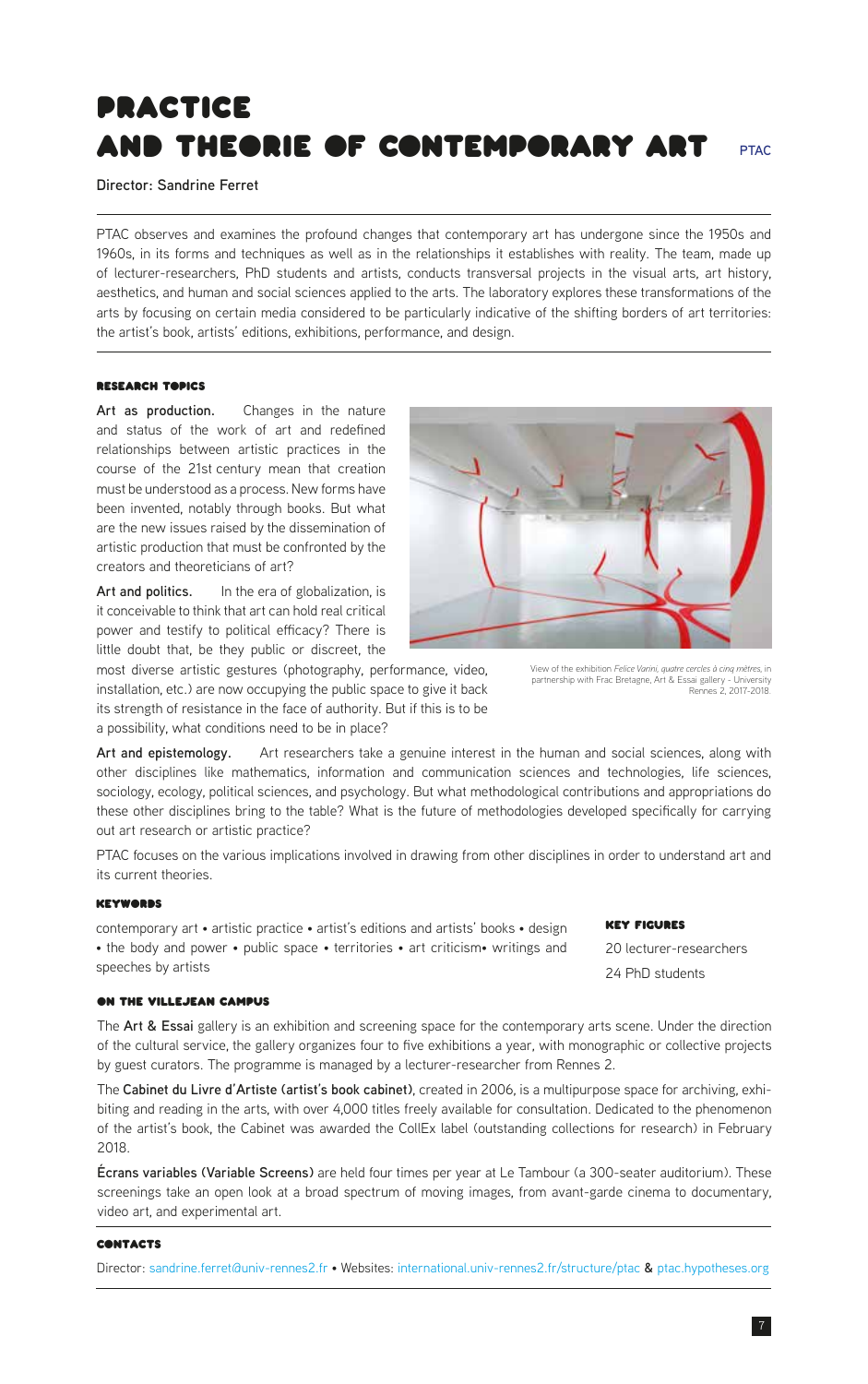# <span id="page-6-0"></span>Practice and Theorie of Contemporary Art

**Director: Sandrine Ferret**

PTAC observes and examines the profound changes that contemporary art has undergone since the 1950s and 1960s, in its forms and techniques as well as in the relationships it establishes with reality. The team, made up of lecturer-researchers, PhD students and artists, conducts transversal projects in the visual arts, art history, aesthetics, and human and social sciences applied to the arts. The laboratory explores these transformations of the arts by focusing on certain media considered to be particularly indicative of the shifting borders of art territories: the artist's book, artists' editions, exhibitions, performance, and design.

# Research Topics

Art as production. Changes in the nature and status of the work of art and redefined relationships between artistic practices in the course of the 21st century mean that creation must be understood as a process. New forms have been invented, notably through books. But what are the new issues raised by the dissemination of artistic production that must be confronted by the creators and theoreticians of art?

Art and politics. In the era of globalization, is it conceivable to think that art can hold real critical power and testify to political efficacy? There is little doubt that, be they public or discreet, the

most diverse artistic gestures (photography, performance, video, installation, etc.) are now occupying the public space to give it back its strength of resistance in the face of authority. But if this is to be a possibility, what conditions need to be in place?

**Art and epistemology.** Art researchers take a genuine interest in the human and social sciences, along with other disciplines like mathematics, information and communication sciences and technologies, life sciences, sociology, ecology, political sciences, and psychology. But what methodological contributions and appropriations do these other disciplines bring to the table? What is the future of methodologies developed specifically for carrying out art research or artistic practice?

PTAC focuses on the various implications involved in drawing from other disciplines in order to understand art and its current theories.

#### **Keywoons**

contemporary art • artistic practice • artist's editions and artists' books • design • the body and power • public space • territories • art criticism• writings and speeches by artists

#### on the Villejean campus

The **Art & Essai** gallery is an exhibition and screening space for the contemporary arts scene. Under the direction of the cultural service, the gallery organizes four to five exhibitions a year, with monographic or collective projects by guest curators. The programme is managed by a lecturer-researcher from Rennes 2.

The **Cabinet du Livre d'Artiste (artist's book cabinet)**, created in 2006, is a multipurpose space for archiving, exhibiting and reading in the arts, with over 4,000 titles freely available for consultation. Dedicated to the phenomenon of the artist's book, the Cabinet was awarded the CollEx label (outstanding collections for research) in February 2018.

**Écrans variables (Variable Screens)** are held four times per year at Le Tambour (a 300-seater auditorium). These screenings take an open look at a broad spectrum of moving images, from avant-garde cinema to documentary, video art, and experimental art.

#### **CONTACTS**

Director: [sandrine.ferret@univ-rennes2.fr](mailto:sandrine.ferret%40univ-rennes2.fr?subject=) • Websites: [international.univ-rennes2.fr/structure/ptac](https://international.univ-rennes2.fr/structure/ptac) **&** [ptac.hypotheses.org](https://ptac.hypotheses.org)



View of the exhibition *Felice Varini, quatre cercles à cinq mètres*, in partnership with Frac Bretagne, Art & Essai gallery - University Rennes 2, 2017-2018.

#### Key Figures

20 lecturer-researchers 24 PhD students

**PTAC**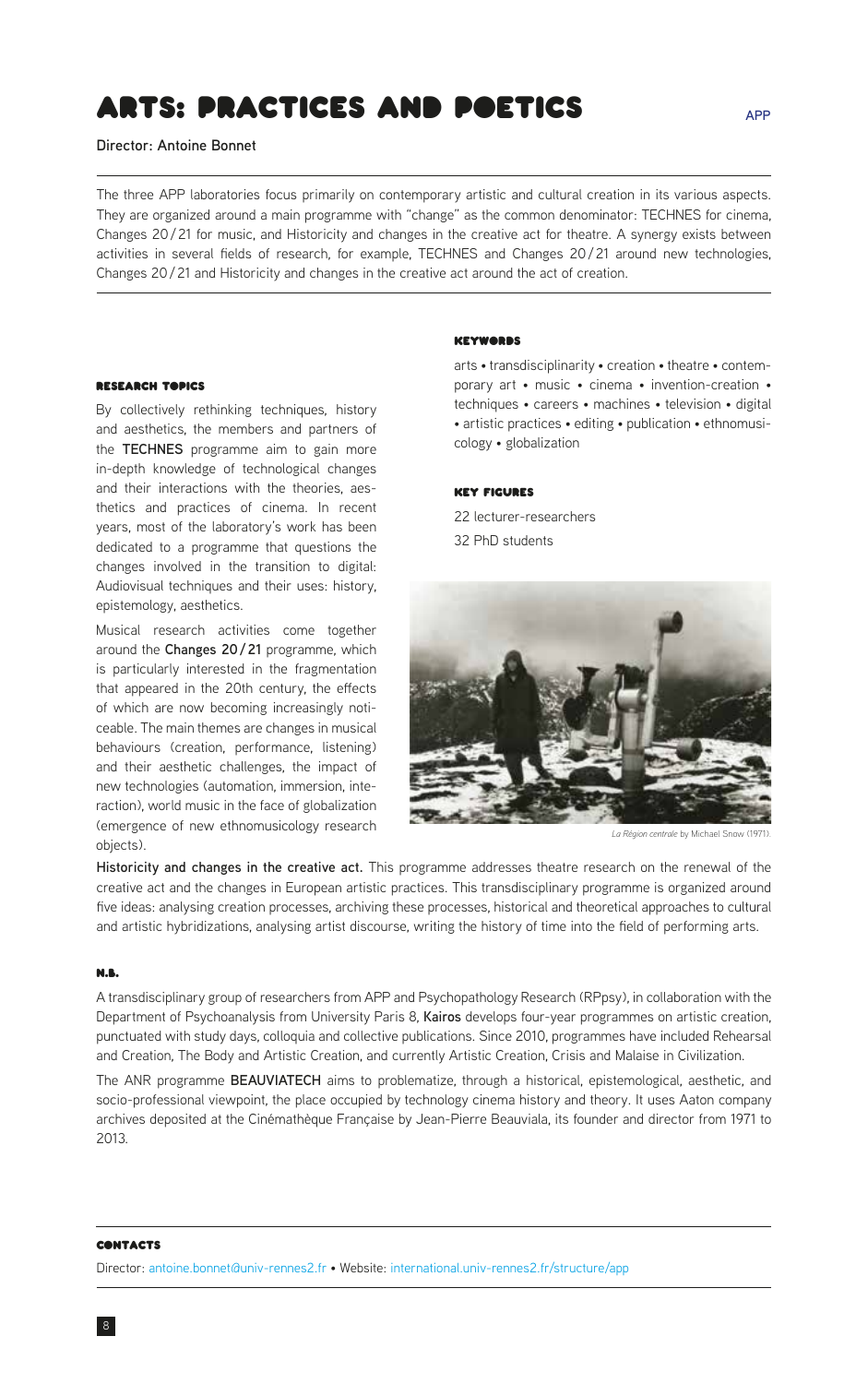# <span id="page-7-0"></span>Arts: Practices and Poetics

**Director: Antoine Bonnet**

The three APP laboratories focus primarily on contemporary artistic and cultural creation in its various aspects. They are organized around a main programme with "change" as the common denominator: TECHNES for cinema, Changes 20/21 for music, and Historicity and changes in the creative act for theatre. A synergy exists between activities in several fields of research, for example, TECHNES and Changes 20/21 around new technologies, Changes 20/21 and Historicity and changes in the creative act around the act of creation.

# **RESEARCH TABICS**

By collectively rethinking techniques, history and aesthetics, the members and partners of the **TECHNES** programme aim to gain more in-depth knowledge of technological changes and their interactions with the theories, aesthetics and practices of cinema. In recent years, most of the laboratory's work has been dedicated to a programme that questions the changes involved in the transition to digital: Audiovisual techniques and their uses: history, epistemology, aesthetics.

Musical research activities come together around the **Changes 20/21** programme, which is particularly interested in the fragmentation that appeared in the 20th century, the effects of which are now becoming increasingly noticeable. The main themes are changes in musical behaviours (creation, performance, listening) and their aesthetic challenges, the impact of new technologies (automation, immersion, interaction), world music in the face of globalization (emergence of new ethnomusicology research objects).

#### Keywords

arts • transdisciplinarity • creation • theatre • contemporary art • music • cinema • invention-creation • techniques • careers • machines • television • digital • artistic practices • editing • publication • ethnomusicology • globalization

#### Key Figures

22 lecturer-researchers 32 PhD students



La Région centrale by Michael Sno

**Historicity and changes in the creative act.** This programme addresses theatre research on the renewal of the creative act and the changes in European artistic practices. This transdisciplinary programme is organized around five ideas: analysing creation processes, archiving these processes, historical and theoretical approaches to cultural and artistic hybridizations, analysing artist discourse, writing the history of time into the field of performing arts.

### N.B.

A transdisciplinary group of researchers from APP and Psychopathology Research (RPpsy), in collaboration with the Department of Psychoanalysis from University Paris 8, **Kairos** develops four-year programmes on artistic creation, punctuated with study days, colloquia and collective publications. Since 2010, programmes have included Rehearsal and Creation, The Body and Artistic Creation, and currently Artistic Creation, Crisis and Malaise in Civilization.

The ANR programme **BEAUVIATECH** aims to problematize, through a historical, epistemological, aesthetic, and socio-professional viewpoint, the place occupied by technology cinema history and theory. It uses Aaton company archives deposited at the Cinémathèque Française by Jean-Pierre Beauviala, its founder and director from 1971 to 2013.

#### **CONTACTS**

8

Director: [antoine.bonnet@univ-rennes2.fr](mailto:antoine.bonnet%40univ-rennes2.fr?subject=) • Website: [international.univ-rennes2.fr/structure/app](https://international.univ-rennes2.fr/structure/app)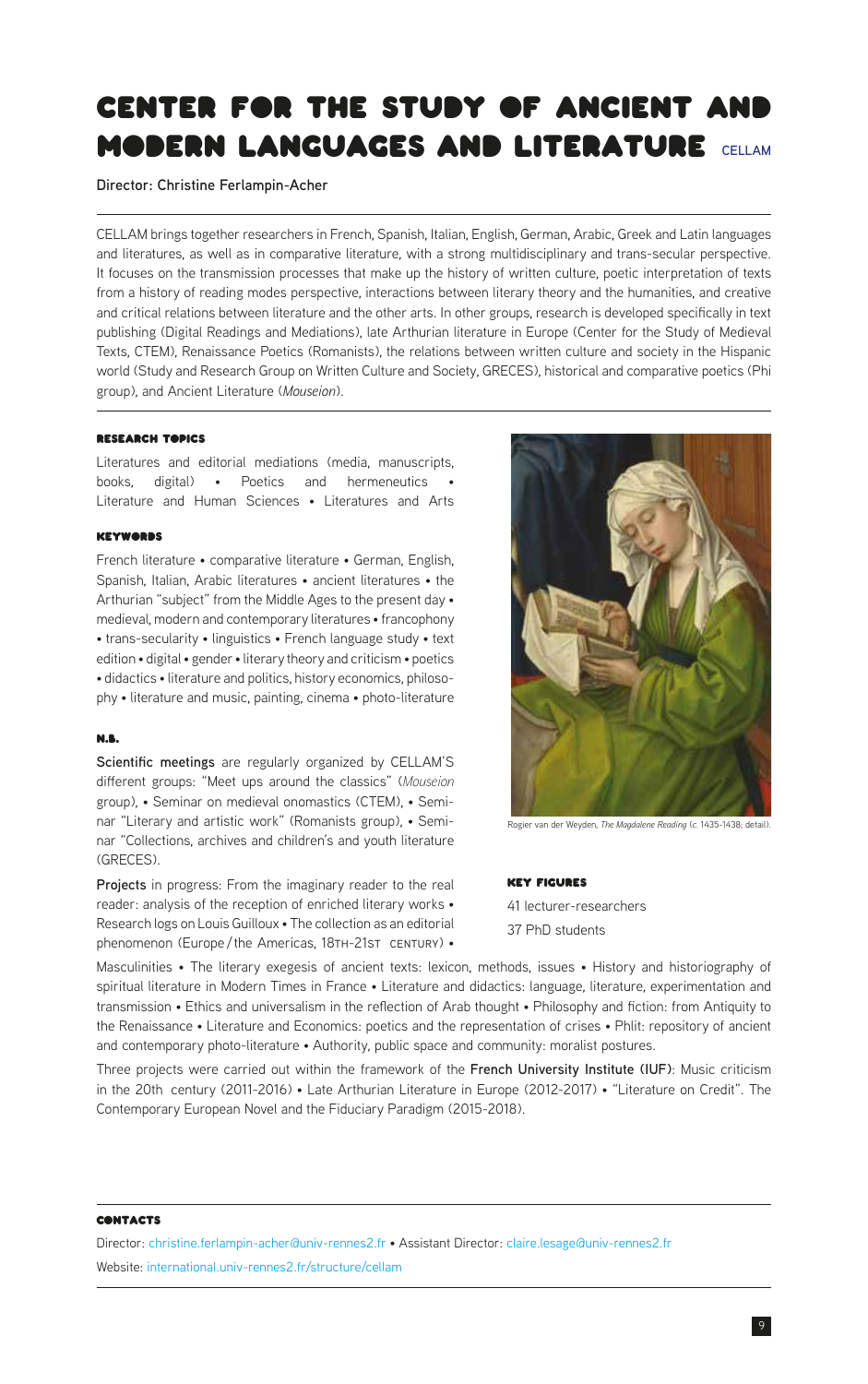# <span id="page-8-0"></span>Center for the Study of Ancient and **MODERN LANGUAGES AND LITERATURE** CELLAM

**Director: Christine Ferlampin-Acher**

CELLAM brings together researchers in French, Spanish, Italian, English, German, Arabic, Greek and Latin languages and literatures, as well as in comparative literature, with a strong multidisciplinary and trans-secular perspective. It focuses on the transmission processes that make up the history of written culture, poetic interpretation of texts from a history of reading modes perspective, interactions between literary theory and the humanities, and creative and critical relations between literature and the other arts. In other groups, research is developed specifically in text publishing (Digital Readings and Mediations), late Arthurian literature in Europe (Center for the Study of Medieval Texts, CTEM), Renaissance Poetics (Romanists), the relations between written culture and society in the Hispanic world (Study and Research Group on Written Culture and Society, GRECES), historical and comparative poetics (Phi group), and Ancient Literature (*Mouseion*).

### Research Topics

Literatures and editorial mediations (media, manuscripts, books, digital) • Poetics and hermeneutics Literature and Human Sciences • Literatures and Arts

#### **KEYWORDS**

French literature • comparative literature • German, English, Spanish, Italian, Arabic literatures • ancient literatures • the Arthurian "subject" from the Middle Ages to the present day • medieval, modern and contemporary literatures • francophony • trans-secularity • linguistics • French language study • text edition • digital • gender • literary theory and criticism • poetics • didactics • literature and politics, history economics, philosophy • literature and music, painting, cinema • photo-literature

# N.B.

**Scientific meetings** are regularly organized by CELLAM'S different groups: "Meet ups around the classics" (*Mouseion* group), • Seminar on medieval onomastics (CTEM), • Seminar "Literary and artistic work" (Romanists group), • Seminar "Collections, archives and children's and youth literature (GRECES).

**Projects** in progress: From the imaginary reader to the real reader: analysis of the reception of enriched literary works • Research logs on Louis Guilloux • The collection as an editorial phenomenon (Europe/the Americas, 18TH-21sT CENTURY) •



Rogier van der Weyden, *The Magdalene Reading* (*c.* 1435-1438; detail).

#### Key Figures

41 lecturer-researchers 37 PhD students

Masculinities • The literary exegesis of ancient texts: lexicon, methods, issues • History and historiography of spiritual literature in Modern Times in France • Literature and didactics: language, literature, experimentation and transmission • Ethics and universalism in the reflection of Arab thought • Philosophy and fiction: from Antiquity to the Renaissance • Literature and Economics: poetics and the representation of crises • Phlit: repository of ancient and contemporary photo-literature • Authority, public space and community: moralist postures.

Three projects were carried out within the framework of the **French University Institute (IUF)**: Music criticism in the 20th century (2011-2016) • Late Arthurian Literature in Europe (2012-2017) • "Literature on Credit". The Contemporary European Novel and the Fiduciary Paradigm (2015-2018).

#### **CONTACTS**

Director: [christine.ferlampin-acher@univ-rennes2.fr](mailto:christine.ferlampin-acher%40univ-rennes2.fr?subject=) • Assistant Director: [claire.lesage@univ-rennes2.fr](mailto:claire.lesage%40univ-rennes2.fr?subject=) Website: [international.univ-rennes2.fr/structure/cellam](https://international.univ-rennes2.fr/structure/cellam)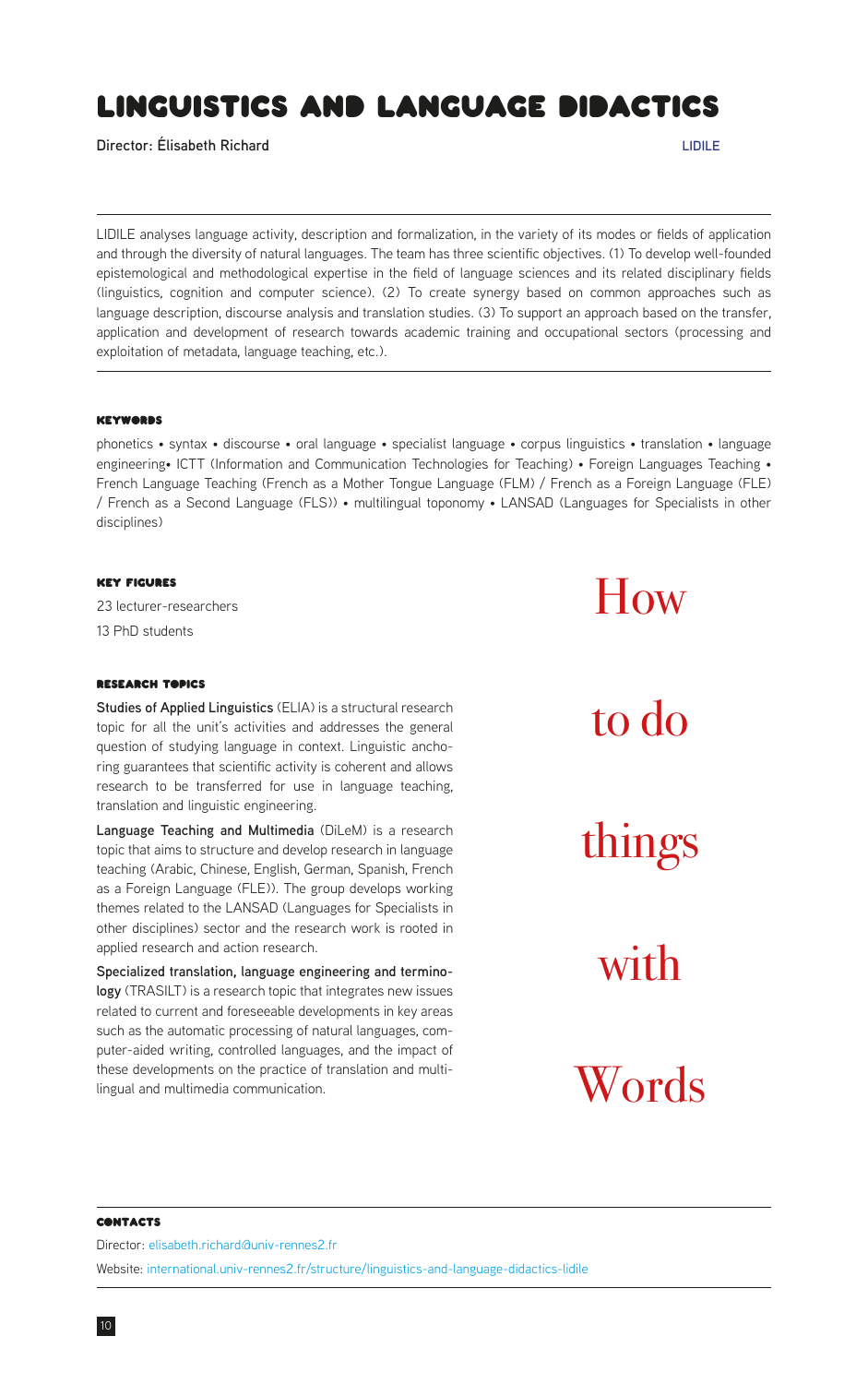# <span id="page-9-0"></span>Linguistics and Language didactics

**Director: Élisabeth Richard LIDILE**

LIDILE analyses language activity, description and formalization, in the variety of its modes or fields of application and through the diversity of natural languages. The team has three scientific objectives. (1) To develop well-founded epistemological and methodological expertise in the field of language sciences and its related disciplinary fields (linguistics, cognition and computer science). (2) To create synergy based on common approaches such as language description, discourse analysis and translation studies. (3) To support an approach based on the transfer, application and development of research towards academic training and occupational sectors (processing and exploitation of metadata, language teaching, etc.).

#### Keywords

phonetics • syntax • discourse • oral language • specialist language • corpus linguistics • translation • language engineering• ICTT (Information and Communication Technologies for Teaching) • Foreign Languages Teaching • French Language Teaching (French as a Mother Tongue Language (FLM) / French as a Foreign Language (FLE) / French as a Second Language (FLS)) • multilingual toponomy • LANSAD (Languages for Specialists in other disciplines)

# Key Figures

23 lecturer-researchers 13 PhD students

# Research Topics

**Studies of Applied Linguistics** (ELIA) is a structural research topic for all the unit's activities and addresses the general question of studying language in context. Linguistic anchoring guarantees that scientific activity is coherent and allows research to be transferred for use in language teaching, translation and linguistic engineering.

**Language Teaching and Multimedia** (DiLeM) is a research topic that aims to structure and develop research in language teaching (Arabic, Chinese, English, German, Spanish, French as a Foreign Language (FLE)). The group develops working themes related to the LANSAD (Languages for Specialists in other disciplines) sector and the research work is rooted in applied research and action research.

**Specialized translation, language engineering and terminology** (TRASILT) is a research topic that integrates new issues related to current and foreseeable developments in key areas such as the automatic processing of natural languages, computer-aided writing, controlled languages, and the impact of these developments on the practice of translation and multilingual and multimedia communication.

to do things with Words

How

# **CONTACTS**

Director: [elisabeth.richard@univ-rennes2.fr](mailto:elisabeth.richard%40univ-rennes2.fr?subject=) Website: [international.univ-rennes2.fr/structure/linguistics-and-language-didactics-lidile](http://international.univ-rennes2.fr/structure/linguistics-and-language-didactics-lidile)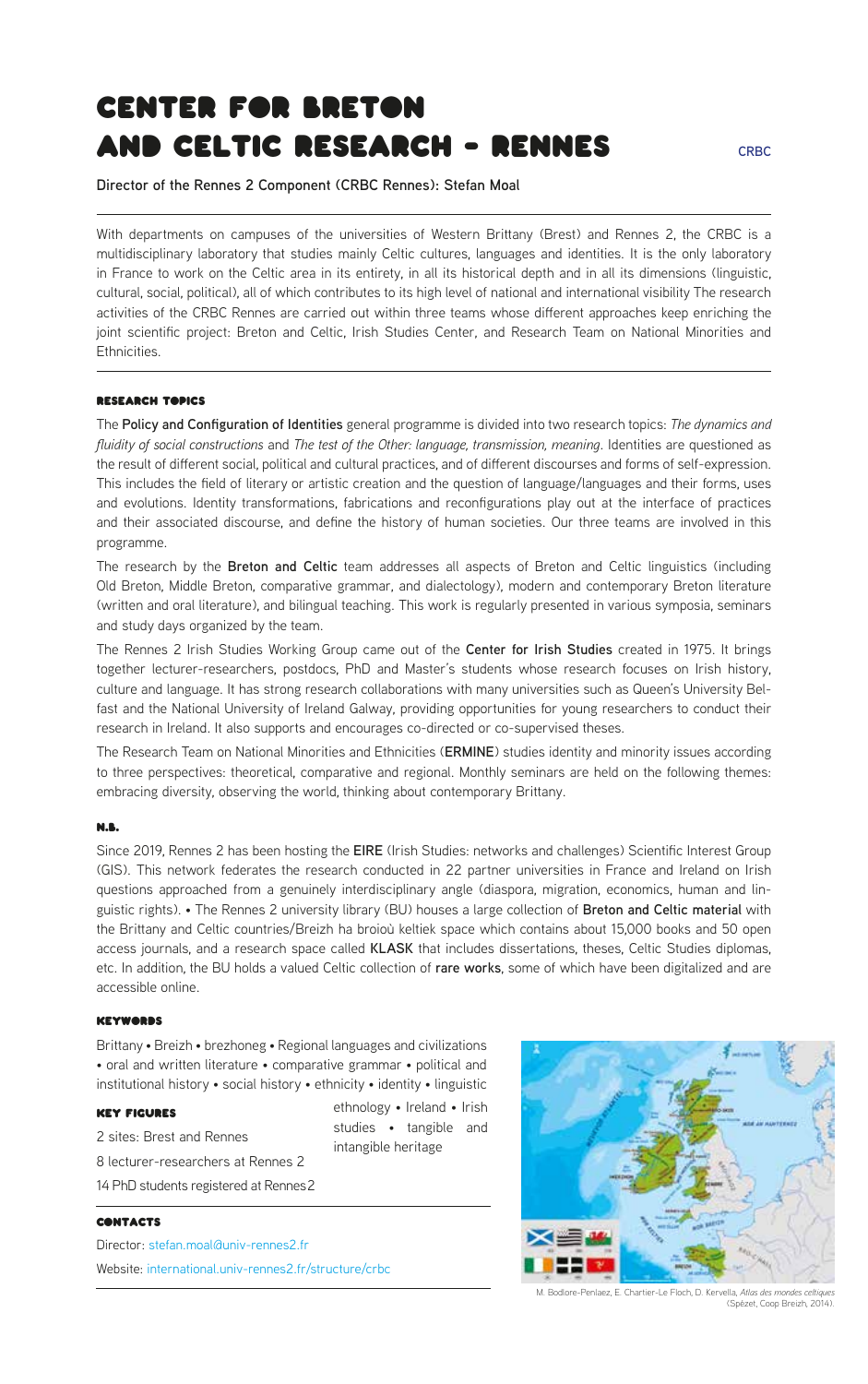# <span id="page-10-0"></span>Center for Breton and Celtic Research - Rennes

**Director of the Rennes 2 Component (CRBC Rennes): Stefan Moal**

With departments on campuses of the universities of Western Brittany (Brest) and Rennes 2, the CRBC is a multidisciplinary laboratory that studies mainly Celtic cultures, languages and identities. It is the only laboratory in France to work on the Celtic area in its entirety, in all its historical depth and in all its dimensions (linguistic, cultural, social, political), all of which contributes to its high level of national and international visibility The research activities of the CRBC Rennes are carried out within three teams whose different approaches keep enriching the joint scientific project: Breton and Celtic, Irish Studies Center, and Research Team on National Minorities and Ethnicities.

#### Research Topics

The **Policy and Configuration of Identities** general programme is divided into two research topics: *The dynamics and fluidity of social constructions* and *The test of the Other: language, transmission, meaning*. Identities are questioned as the result of different social, political and cultural practices, and of different discourses and forms of self-expression. This includes the field of literary or artistic creation and the question of language/languages and their forms, uses and evolutions. Identity transformations, fabrications and reconfigurations play out at the interface of practices and their associated discourse, and define the history of human societies. Our three teams are involved in this programme.

The research by the **Breton and Celtic** team addresses all aspects of Breton and Celtic linguistics (including Old Breton, Middle Breton, comparative grammar, and dialectology), modern and contemporary Breton literature (written and oral literature), and bilingual teaching. This work is regularly presented in various symposia, seminars and study days organized by the team.

The Rennes 2 Irish Studies Working Group came out of the **Center for Irish Studies** created in 1975. It brings together lecturer-researchers, postdocs, PhD and Master's students whose research focuses on Irish history, culture and language. It has strong research collaborations with many universities such as Queen's University Belfast and the National University of Ireland Galway, providing opportunities for young researchers to conduct their research in Ireland. It also supports and encourages co-directed or co-supervised theses.

The Research Team on National Minorities and Ethnicities (**ERMINE**) studies identity and minority issues according to three perspectives: theoretical, comparative and regional. Monthly seminars are held on the following themes: embracing diversity, observing the world, thinking about contemporary Brittany.

# N.B.

Since 2019, Rennes 2 has been hosting the **EIRE** (Irish Studies: networks and challenges) Scientific Interest Group (GIS). This network federates the research conducted in 22 partner universities in France and Ireland on Irish questions approached from a genuinely interdisciplinary angle (diaspora, migration, economics, human and linguistic rights). • The Rennes 2 university library (BU) houses a large collection of **Breton and Celtic material** with the Brittany and Celtic countries/Breizh ha broioù keltiek space which contains about 15,000 books and 50 open access journals, and a research space called **KLASK** that includes dissertations, theses, Celtic Studies diplomas, etc. In addition, the BU holds a valued Celtic collection of **rare works**, some of which have been digitalized and are accessible online.

### Weywoone

Brittany • Breizh • brezhoneg • Regional languages and civilizations • oral and written literature • comparative grammar • political and institutional history • social history • ethnicity • identity • linguistic

### Key Figures

2 sites: Brest and Rennes 8 lecturer-researchers at Rennes 2 14 PhD students registered at Rennes 2

# **CONTACTS**

Director: [stefan.moal@univ-rennes2.fr](mailto:stefan.moal%40univ-rennes2.fr?subject=) Website: [international.univ-rennes2.fr/structure/crbc](https://international.univ-rennes2.fr/structure/crbc)

M. Bodlore-Penlaez, E. Chartier-Le Floch, D. Kervella, *Atlas des mondes celtiques* (Spézet, Coop Breizh, 2014).

ethnology • Ireland • Irish studies • tangible and intangible heritage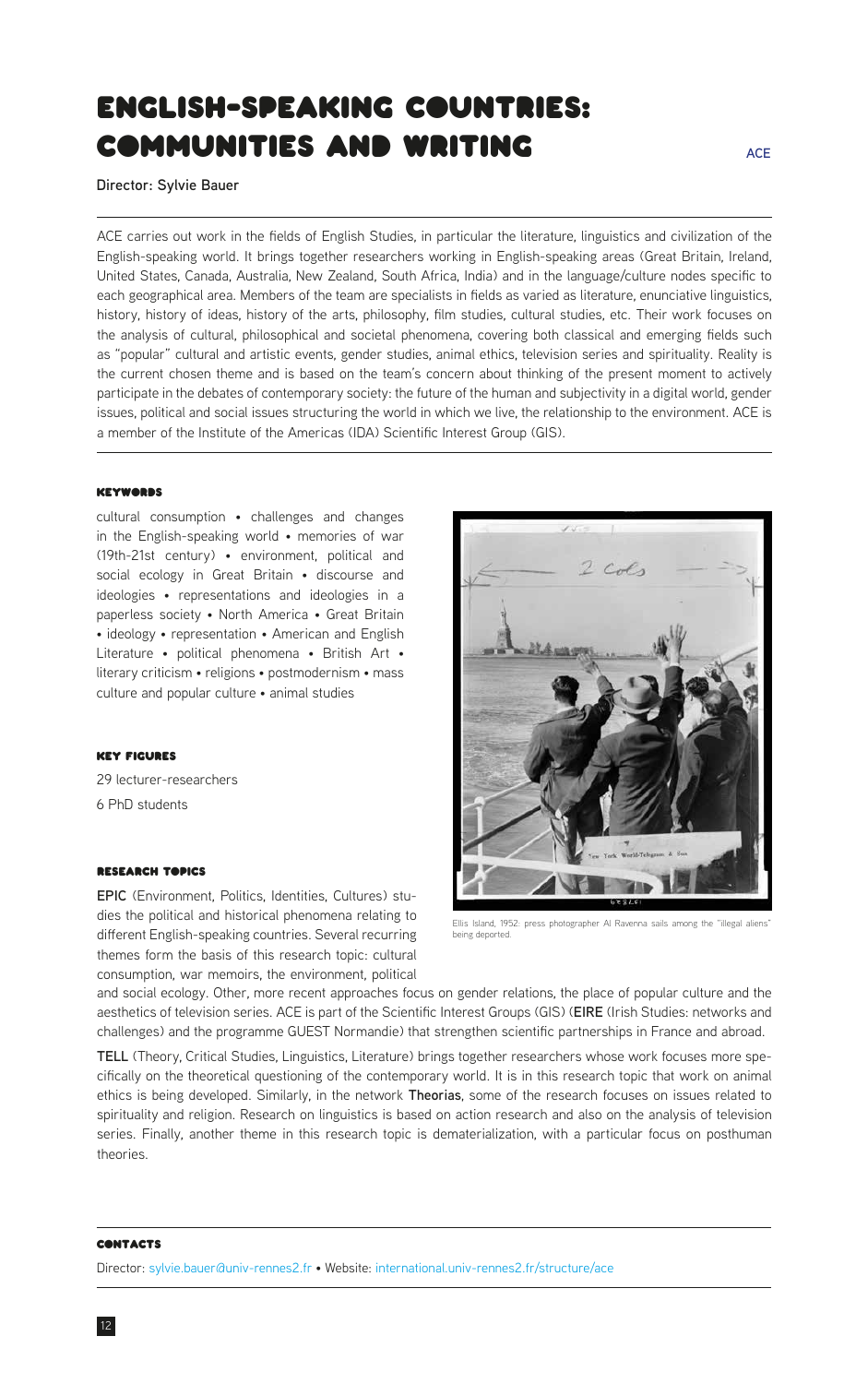# <span id="page-11-0"></span>english-speaking countries: communities and writing

**Director: Sylvie Bauer**

ACE carries out work in the fields of English Studies, in particular the literature, linguistics and civilization of the English-speaking world. It brings together researchers working in English-speaking areas (Great Britain, Ireland, United States, Canada, Australia, New Zealand, South Africa, India) and in the language/culture nodes specific to each geographical area. Members of the team are specialists in fields as varied as literature, enunciative linguistics, history, history of ideas, history of the arts, philosophy, film studies, cultural studies, etc. Their work focuses on the analysis of cultural, philosophical and societal phenomena, covering both classical and emerging fields such as "popular" cultural and artistic events, gender studies, animal ethics, television series and spirituality. Reality is the current chosen theme and is based on the team's concern about thinking of the present moment to actively participate in the debates of contemporary society: the future of the human and subjectivity in a digital world, gender issues, political and social issues structuring the world in which we live, the relationship to the environment. ACE is a member of the Institute of the Americas (IDA) Scientific Interest Group (GIS).

#### **KEYWORDS**

cultural consumption • challenges and changes in the English-speaking world • memories of war (19th-21st century) • environment, political and social ecology in Great Britain • discourse and ideologies • representations and ideologies in a paperless society • North America • Great Britain • ideology • representation • American and English Literature • political phenomena • British Art • literary criticism • religions • postmodernism • mass culture and popular culture • animal studies

#### Key Figures

29 lecturer-researchers 6 PhD students

#### Research Topics

**EPIC** (Environment, Politics, Identities, Cultures) studies the political and historical phenomena relating to different English-speaking countries. Several recurring themes form the basis of this research topic: cultural consumption, war memoirs, the environment, political

Ellis Island, 1952: press photographer Al Ravenna sails among the "illegal aliens" being deported.

and social ecology. Other, more recent approaches focus on gender relations, the place of popular culture and the aesthetics of television series. ACE is part of the Scientific Interest Groups (GIS) (**EIRE** (Irish Studies: networks and challenges) and the programme GUEST Normandie) that strengthen scientific partnerships in France and abroad.

**TELL** (Theory, Critical Studies, Linguistics, Literature) brings together researchers whose work focuses more specifically on the theoretical questioning of the contemporary world. It is in this research topic that work on animal ethics is being developed. Similarly, in the network **Theorias**, some of the research focuses on issues related to spirituality and religion. Research on linguistics is based on action research and also on the analysis of television series. Finally, another theme in this research topic is dematerialization, with a particular focus on posthuman theories.

#### **CONTACTS**

Director: [sylvie.bauer@univ-rennes2.fr](mailto:sylvie.bauer%40univ-rennes2.fr?subject=) • Website: [international.univ-rennes2.fr/structure/ace](https://international.univ-rennes2.fr/structure/ace)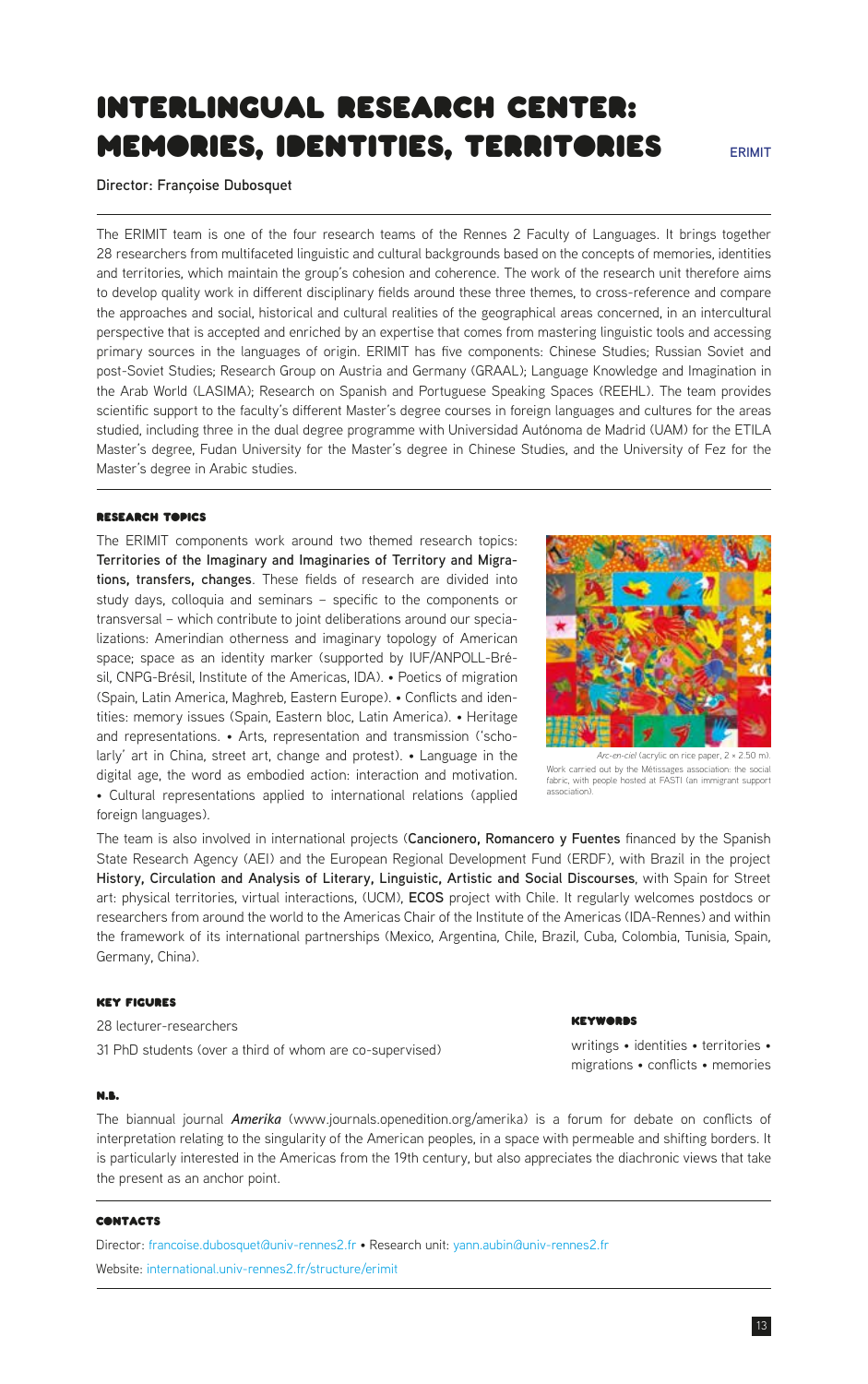# <span id="page-12-0"></span>Interlingual Research center: memories, identities, territories

**Director: Françoise Dubosquet**

The ERIMIT team is one of the four research teams of the Rennes 2 Faculty of Languages. It brings together 28 researchers from multifaceted linguistic and cultural backgrounds based on the concepts of memories, identities and territories, which maintain the group's cohesion and coherence. The work of the research unit therefore aims to develop quality work in different disciplinary fields around these three themes, to cross-reference and compare the approaches and social, historical and cultural realities of the geographical areas concerned, in an intercultural perspective that is accepted and enriched by an expertise that comes from mastering linguistic tools and accessing primary sources in the languages of origin. ERIMIT has five components: Chinese Studies; Russian Soviet and post-Soviet Studies; Research Group on Austria and Germany (GRAAL); Language Knowledge and Imagination in the Arab World (LASIMA); Research on Spanish and Portuguese Speaking Spaces (REEHL). The team provides scientific support to the faculty's different Master's degree courses in foreign languages and cultures for the areas studied, including three in the dual degree programme with Universidad Autónoma de Madrid (UAM) for the ETILA Master's degree, Fudan University for the Master's degree in Chinese Studies, and the University of Fez for the Master's degree in Arabic studies.

# Research Topics

The ERIMIT components work around two themed research topics: **Territories of the Imaginary and Imaginaries of Territory and Migrations, transfers, changes**. These fields of research are divided into study days, colloquia and seminars – specific to the components or transversal – which contribute to joint deliberations around our specializations: Amerindian otherness and imaginary topology of American space; space as an identity marker (supported by IUF/ANPOLL-Brésil, CNPG-Brésil, Institute of the Americas, IDA). • Poetics of migration (Spain, Latin America, Maghreb, Eastern Europe). • Conflicts and identities: memory issues (Spain, Eastern bloc, Latin America). • Heritage and representations. • Arts, representation and transmission ('scholarly' art in China, street art, change and protest). • Language in the digital age, the word as embodied action: interaction and motivation. • Cultural representations applied to international relations (applied foreign languages).

The team is also involved in international projects (**Cancionero, Romancero y Fuentes** financed by the Spanish State Research Agency (AEI) and the European Regional Development Fund (ERDF), with Brazil in the project **History, Circulation and Analysis of Literary, Linguistic, Artistic and Social Discourses**, with Spain for Street art: physical territories, virtual interactions, (UCM), **ECOS** project with Chile. It regularly welcomes postdocs or researchers from around the world to the Americas Chair of the Institute of the Americas (IDA-Rennes) and within the framework of its international partnerships (Mexico, Argentina, Chile, Brazil, Cuba, Colombia, Tunisia, Spain, Germany, China).

## Key Figures

28 lecturer-researchers 31 PhD students (over a third of whom are co-supervised)

#### N.B.

The biannual journal *Amerika* (www.journals.openedition.org/amerika) is a forum for debate on conflicts of interpretation relating to the singularity of the American peoples, in a space with permeable and shifting borders. It is particularly interested in the Americas from the 19th century, but also appreciates the diachronic views that take the present as an anchor point.

#### **CONTACTS**

Director: [francoise.dubosquet@univ-rennes2.fr](mailto:francoise.dubosquet%40univ-rennes2.fr?subject=) • Research unit: [yann.aubin@univ-rennes2.fr](mailto:yann.aubin%40univ-rennes2.fr?subject=) Website: [international.univ-rennes2.fr/structure/erimit](https://international.univ-rennes2.fr/structure/erimit)

# *VEYWARRS*

association).

writings • identities • territories • migrations • conflicts • memories



**ERIMIT**



Work carried out by the Métissages association: the social fabric, with people hosted at FASTI (an immigrant support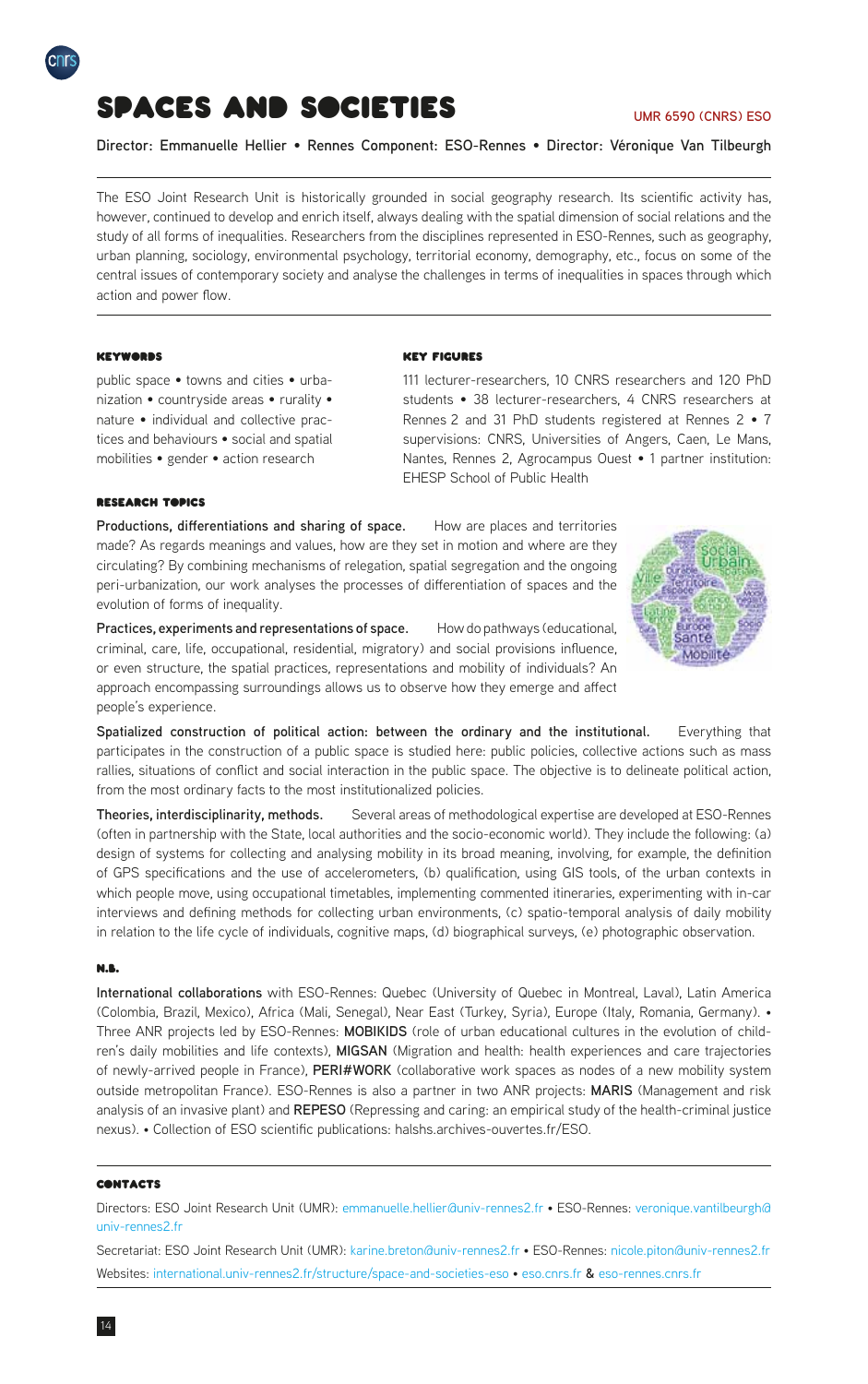<span id="page-13-0"></span>

# Spaces and Societies

#### **UMR 6590 (CNRS) ESO**

**Director: Emmanuelle Hellier** • **Rennes Component: ESO-Rennes** • **Director: Véronique Van Tilbeurgh**

The ESO Joint Research Unit is historically grounded in social geography research. Its scientific activity has, however, continued to develop and enrich itself, always dealing with the spatial dimension of social relations and the study of all forms of inequalities. Researchers from the disciplines represented in ESO-Rennes, such as geography, urban planning, sociology, environmental psychology, territorial economy, demography, etc., focus on some of the central issues of contemporary society and analyse the challenges in terms of inequalities in spaces through which action and power flow.

# **KEYWORDS**

public space • towns and cities • urbanization • countryside areas • rurality • nature • individual and collective practices and behaviours • social and spatial mobilities • gender • action research

### Key Figures

111 lecturer-researchers, 10 CNRS researchers and 120 PhD students • 38 lecturer-researchers, 4 CNRS researchers at Rennes 2 and 31 PhD students registered at Rennes 2 • 7 supervisions: CNRS, Universities of Angers, Caen, Le Mans, Nantes, Rennes 2, Agrocampus Ouest • 1 partner institution: EHESP School of Public Health

### **RESEARCH TOPICS**

**Productions, differentiations and sharing of space.** How are places and territories made? As regards meanings and values, how are they set in motion and where are they circulating? By combining mechanisms of relegation, spatial segregation and the ongoing peri-urbanization, our work analyses the processes of differentiation of spaces and the evolution of forms of inequality.

Practices, experiments and representations of space. How do pathways (educational, criminal, care, life, occupational, residential, migratory) and social provisions influence, or even structure, the spatial practices, representations and mobility of individuals? An approach encompassing surroundings allows us to observe how they emerge and affect people's experience.

**Spatialized construction of political action: between the ordinary and the institutional.** Everything that participates in the construction of a public space is studied here: public policies, collective actions such as mass rallies, situations of conflict and social interaction in the public space. The objective is to delineate political action, from the most ordinary facts to the most institutionalized policies.

**Theories, interdisciplinarity, methods.** Several areas of methodological expertise are developed at ESO-Rennes (often in partnership with the State, local authorities and the socio-economic world). They include the following: (a) design of systems for collecting and analysing mobility in its broad meaning, involving, for example, the definition of GPS specifications and the use of accelerometers, (b) qualification, using GIS tools, of the urban contexts in which people move, using occupational timetables, implementing commented itineraries, experimenting with in-car interviews and defining methods for collecting urban environments, (c) spatio-temporal analysis of daily mobility in relation to the life cycle of individuals, cognitive maps, (d) biographical surveys, (e) photographic observation.

#### N.B.

**International collaborations** with ESO-Rennes: Quebec (University of Quebec in Montreal, Laval), Latin America (Colombia, Brazil, Mexico), Africa (Mali, Senegal), Near East (Turkey, Syria), Europe (Italy, Romania, Germany). • Three ANR projects led by ESO-Rennes: **MOBIKIDS** (role of urban educational cultures in the evolution of children's daily mobilities and life contexts), **MIGSAN** (Migration and health: health experiences and care trajectories of newly-arrived people in France), **PERI#WORK** (collaborative work spaces as nodes of a new mobility system outside metropolitan France). ESO-Rennes is also a partner in two ANR projects: **MARIS** (Management and risk analysis of an invasive plant) and **REPESO** (Repressing and caring: an empirical study of the health-criminal justice nexus). • Collection of ESO scientific publications: halshs.archives-ouvertes.fr/ESO.

#### **CONTACTS**

Directors: ESO Joint Research Unit (UMR): [emmanuelle.hellier@univ-rennes2.fr](mailto:emmanuelle.hellier%40univ-rennes2.fr?subject=) • ESO-Rennes: [veronique.vantilbeurgh@](mailto:veronique.vantilbeurgh%40univ-rennes2.fr?subject=) [univ-rennes2.fr](mailto:veronique.vantilbeurgh%40univ-rennes2.fr?subject=)

Secretariat: ESO Joint Research Unit (UMR): [karine.breton@univ-rennes2.fr](mailto:karine.breton%40univ-rennes2.fr?subject=) • ESO-Rennes: [nicole.piton@univ-rennes2.fr](mailto:nicole.piton%40univ-rennes2.fr%20?subject=) Websites: [international.univ-rennes2.fr/structure/space-and-societies-eso](http://international.univ-rennes2.fr/structure/space-and-societies-eso) • [eso.cnrs.fr](http://eso.cnrs.fr/fr/index.html) **&** [eso-rennes.cnrs.fr](http://eso-rennes.cnrs.fr/fr/index.html)

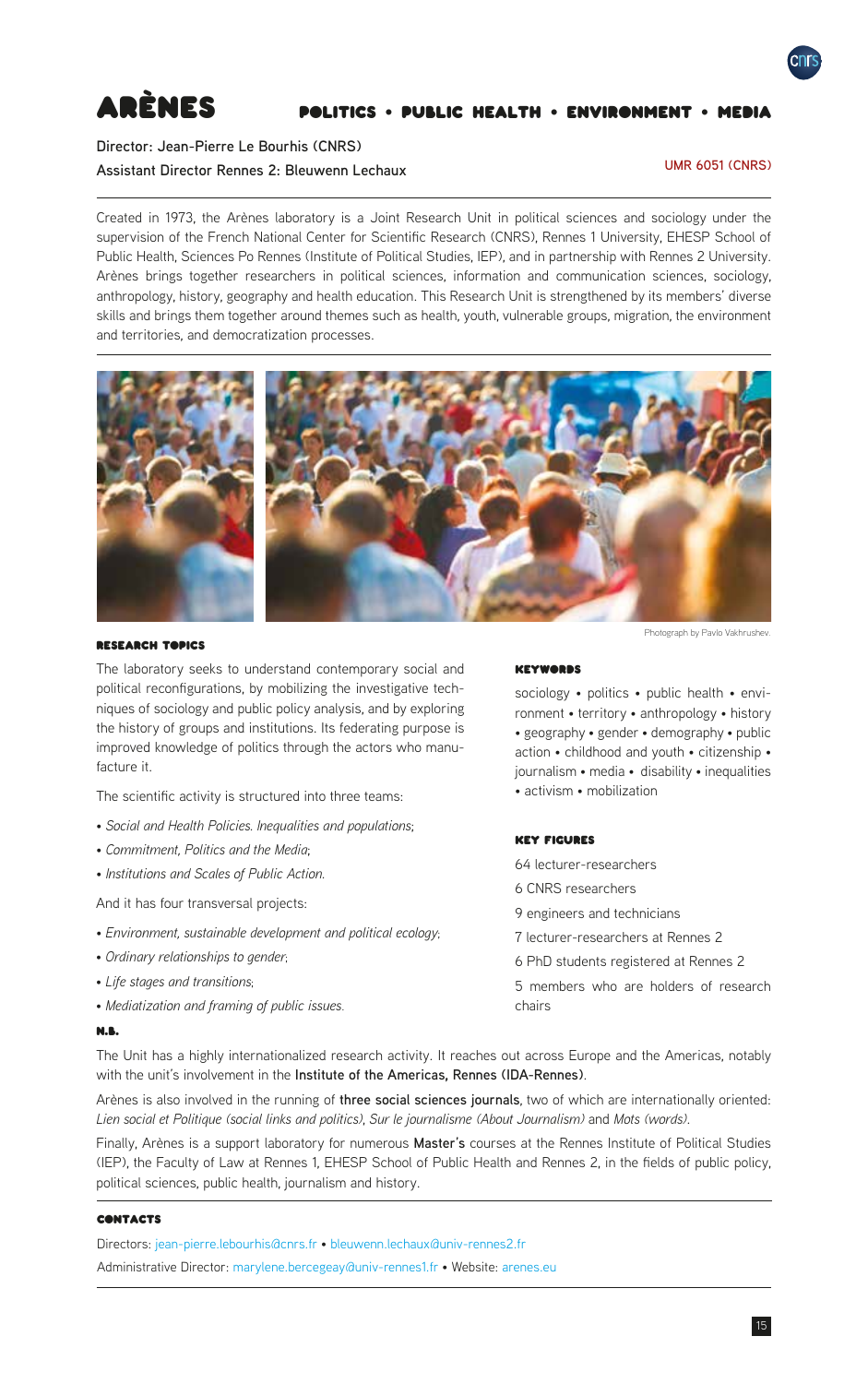<span id="page-14-0"></span>

# Arènes Politics • Public health • Environment • Media

# **Director: Jean-Pierre Le Bourhis (CNRS) Assistant Director Rennes 2: Bleuwenn Lechaux**

## **UMR 6051 (CNRS)**

Created in 1973, the Arènes laboratory is a Joint Research Unit in political sciences and sociology under the supervision of the French National Center for Scientific Research (CNRS), Rennes 1 University, EHESP School of Public Health, Sciences Po Rennes (Institute of Political Studies, IEP), and in partnership with Rennes 2 University. Arènes brings together researchers in political sciences, information and communication sciences, sociology, anthropology, history, geography and health education. This Research Unit is strengthened by its members' diverse skills and brings them together around themes such as health, youth, vulnerable groups, migration, the environment and territories, and democratization processes.



# Research Topics

The laboratory seeks to understand contemporary social and political reconfigurations, by mobilizing the investigative techniques of sociology and public policy analysis, and by exploring the history of groups and institutions. Its federating purpose is improved knowledge of politics through the actors who manufacture it.

The scientific activity is structured into three teams:

- *Social and Health Policies. Inequalities and populations*;
- *Commitment, Politics and the Media*;
- *Institutions and Scales of Public Action.*

And it has four transversal projects:

- • *Environment, sustainable development and political ecology*;
- • *Ordinary relationships to gender*;
- • *Life stages and transitions*;
- • *Mediatization and framing of public issues*.

#### N.B.

Photograph by Pavlo Vakhrushev.

#### **KEYWORDS**

sociology • politics • public health • environment • territory • anthropology • history • geography • gender • demography • public action • childhood and youth • citizenship • journalism • media • disability • inequalities • activism • mobilization

# Key Figures

- 64 lecturer-researchers
- 6 CNRS researchers
- 9 engineers and technicians
- 7 lecturer-researchers at Rennes 2
- 6 PhD students registered at Rennes 2
- 5 members who are holders of research chairs

The Unit has a highly internationalized research activity. It reaches out across Europe and the Americas, notably with the unit's involvement in the **Institute of the Americas, Rennes (IDA-Rennes)**.

Arènes is also involved in the running of **three social sciences journals**, two of which are internationally oriented: *Lien social et Politique (social links and politics)*, *Sur le journalisme (About Journalism)* and *Mots (words)*.

Finally, Arènes is a support laboratory for numerous **Master's** courses at the Rennes Institute of Political Studies (IEP), the Faculty of Law at Rennes 1, EHESP School of Public Health and Rennes 2, in the fields of public policy, political sciences, public health, journalism and history.

# **CONTACTS**

Directors: [jean-pierre.lebourhis@cnrs.fr](mailto:jean-pierre.lebourhis%40cnrs.fr?subject=) • [bleuwenn.lechaux@univ-rennes2.fr](mailto:bleuwenn.lechaux%40univ-rennes2.fr?subject=)

Administrative Director: [marylene.bercegeay@univ-rennes1.fr](mailto:marylene.bercegeay%40univ-rennes1.fr?subject=) • Website: [arenes.eu](https://arenes.eu)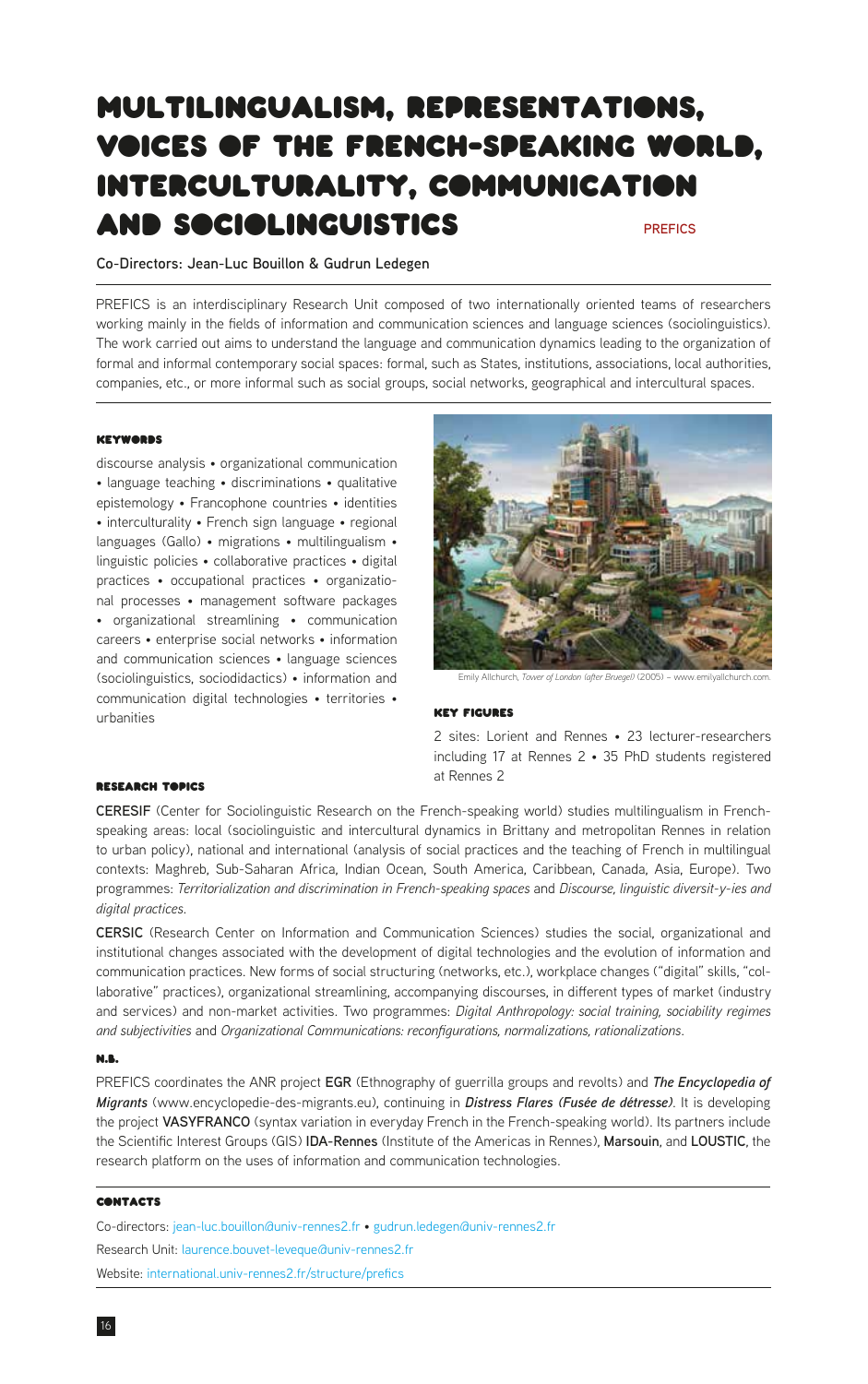# <span id="page-15-0"></span>Multilingualism, Representations, Voices of the French-Speaking World, Interculturality, Communication and Sociolinguistics **PREFICS**

# **Co-Directors: Jean-Luc Bouillon & Gudrun Ledegen**

PREFICS is an interdisciplinary Research Unit composed of two internationally oriented teams of researchers working mainly in the fields of information and communication sciences and language sciences (sociolinguistics). The work carried out aims to understand the language and communication dynamics leading to the organization of formal and informal contemporary social spaces: formal, such as States, institutions, associations, local authorities, companies, etc., or more informal such as social groups, social networks, geographical and intercultural spaces.

#### **KEYWORDS**

discourse analysis • organizational communication • language teaching • discriminations • qualitative epistemology • Francophone countries • identities • interculturality • French sign language • regional languages (Gallo) • migrations • multilingualism • linguistic policies • collaborative practices • digital practices • occupational practices • organizational processes • management software packages • organizational streamlining • communication careers • enterprise social networks • information and communication sciences • language sciences (sociolinguistics, sociodidactics) • information and communication digital technologies • territories • urbanities



Emily Allchurch, *Tower of London (after Bruegel)* (2005) – www.emilyallchurch.com.

### Key Figures

2 sites: Lorient and Rennes • 23 lecturer-researchers including 17 at Rennes 2 • 35 PhD students registered at Rennes 2

#### **RESEARCH TOPICS**

**CERESIF** (Center for Sociolinguistic Research on the French-speaking world) studies multilingualism in Frenchspeaking areas: local (sociolinguistic and intercultural dynamics in Brittany and metropolitan Rennes in relation to urban policy), national and international (analysis of social practices and the teaching of French in multilingual contexts: Maghreb, Sub-Saharan Africa, Indian Ocean, South America, Caribbean, Canada, Asia, Europe). Two programmes: *Territorialization and discrimination in French-speaking spaces* and *Discourse, linguistic diversit-y-ies and digital practices*.

**CERSIC** (Research Center on Information and Communication Sciences) studies the social, organizational and institutional changes associated with the development of digital technologies and the evolution of information and communication practices. New forms of social structuring (networks, etc.), workplace changes ("digital" skills, "collaborative" practices), organizational streamlining, accompanying discourses, in different types of market (industry and services) and non-market activities. Two programmes: *Digital Anthropology: social training, sociability regimes and subjectivities* and *Organizational Communications: reconfigurations, normalizations, rationalizations*.

#### N.B.

PREFICS coordinates the ANR project **EGR** (Ethnography of guerrilla groups and revolts) and *The Encyclopedia of Migrants* (www.encyclopedie-des-migrants.eu), continuing in *Distress Flares (Fusée de détresse)*. It is developing the project VASYFRANCO (syntax variation in everyday French in the French-speaking world). Its partners include the Scientific Interest Groups (GIS) **IDA-Rennes** (Institute of the Americas in Rennes), **Marsouin**, and **LOUSTIC**, the research platform on the uses of information and communication technologies.

# **CONTACTS**

Co-directors: [jean-luc.bouillon@univ-rennes2.fr](mailto:jean-luc.bouillon%40univ-rennes2.fr?subject=) • [gudrun.ledegen@univ-rennes2.fr](mailto:gudrun.ledegen%40univ-rennes2.fr?subject=) Research Unit: [laurence.bouvet-leveque@univ-rennes2.fr](mailto:laurence.bouvet-leveque%40univ-rennes2.fr?subject=) Website: [international.univ-rennes2.fr/structure/prefics](https://international.univ-rennes2.fr/structure/prefics)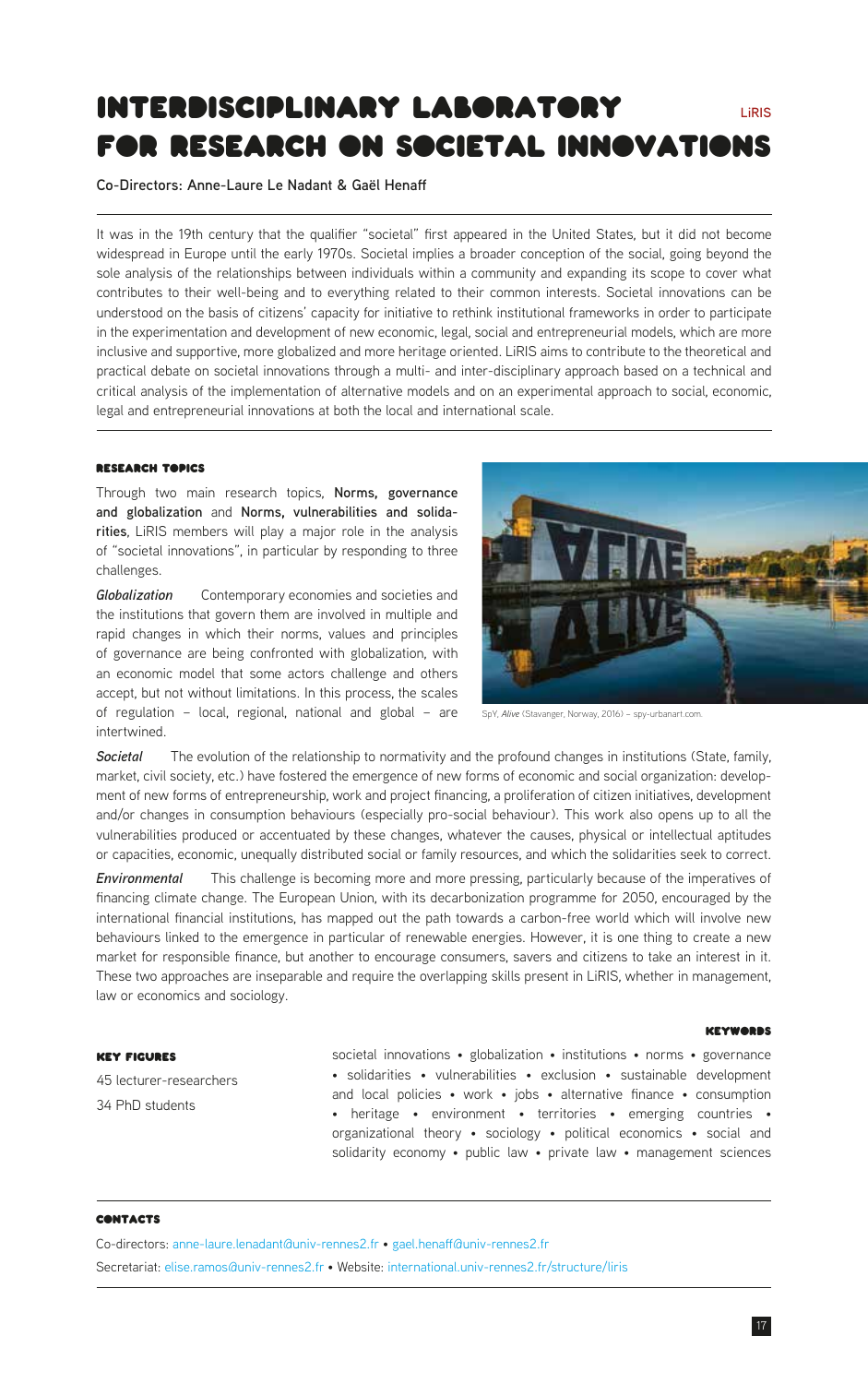# <span id="page-16-0"></span>Interdisciplinary Laboratory for research On societal innovations **LiRIS**

**Co-Directors: Anne-Laure Le Nadant & Gaël Henaff**

It was in the 19th century that the qualifier "societal" first appeared in the United States, but it did not become widespread in Europe until the early 1970s. Societal implies a broader conception of the social, going beyond the sole analysis of the relationships between individuals within a community and expanding its scope to cover what contributes to their well-being and to everything related to their common interests. Societal innovations can be understood on the basis of citizens' capacity for initiative to rethink institutional frameworks in order to participate in the experimentation and development of new economic, legal, social and entrepreneurial models, which are more inclusive and supportive, more globalized and more heritage oriented. LiRIS aims to contribute to the theoretical and practical debate on societal innovations through a multi- and inter-disciplinary approach based on a technical and critical analysis of the implementation of alternative models and on an experimental approach to social, economic, legal and entrepreneurial innovations at both the local and international scale.

#### **RESEARCH TABICS**

Through two main research topics, **Norms, governance and globalization** and **Norms, vulnerabilities and solidarities**, LiRIS members will play a major role in the analysis of "societal innovations", in particular by responding to three challenges.

*Globalization* Contemporary economies and societies and the institutions that govern them are involved in multiple and rapid changes in which their norms, values and principles of governance are being confronted with globalization, with an economic model that some actors challenge and others accept, but not without limitations. In this process, the scales of regulation – local, regional, national and global – are intertwined.



SpY, *Alive* (Stavanger, Norway, 2016) – spy-urbanart.com.

*Societal* The evolution of the relationship to normativity and the profound changes in institutions (State, family, market, civil society, etc.) have fostered the emergence of new forms of economic and social organization: development of new forms of entrepreneurship, work and project financing, a proliferation of citizen initiatives, development and/or changes in consumption behaviours (especially pro-social behaviour). This work also opens up to all the vulnerabilities produced or accentuated by these changes, whatever the causes, physical or intellectual aptitudes or capacities, economic, unequally distributed social or family resources, and which the solidarities seek to correct.

*Environmental* This challenge is becoming more and more pressing, particularly because of the imperatives of financing climate change. The European Union, with its decarbonization programme for 2050, encouraged by the international financial institutions, has mapped out the path towards a carbon-free world which will involve new behaviours linked to the emergence in particular of renewable energies. However, it is one thing to create a new market for responsible finance, but another to encourage consumers, savers and citizens to take an interest in it. These two approaches are inseparable and require the overlapping skills present in LiRIS, whether in management, law or economics and sociology.

# Key Figures

45 lecturer-researchers 34 PhD students

# Keywords

societal innovations • globalization • institutions • norms • governance • solidarities • vulnerabilities • exclusion • sustainable development and local policies • work • jobs • alternative finance • consumption • heritage • environment • territories • emerging countries • organizational theory • sociology • political economics • social and solidarity economy • public law • private law • management sciences

# **CONTACTS**

Co-directors: [anne-laure.lenadant@univ-rennes2.fr](mailto:anne-laure.lenadant%40univ-rennes2.fr?subject=) • [gael.henaff@univ-rennes2.fr](mailto:gael.henaff%40univ-rennes2.fr?subject=) Secretariat: [elise.ramos@univ-rennes2.fr](mailto:elise.ramos%40univ-rennes2.fr?subject=) • Website: [international.univ-rennes2.fr/structure/liris](https://international.univ-rennes2.fr/structure/liris)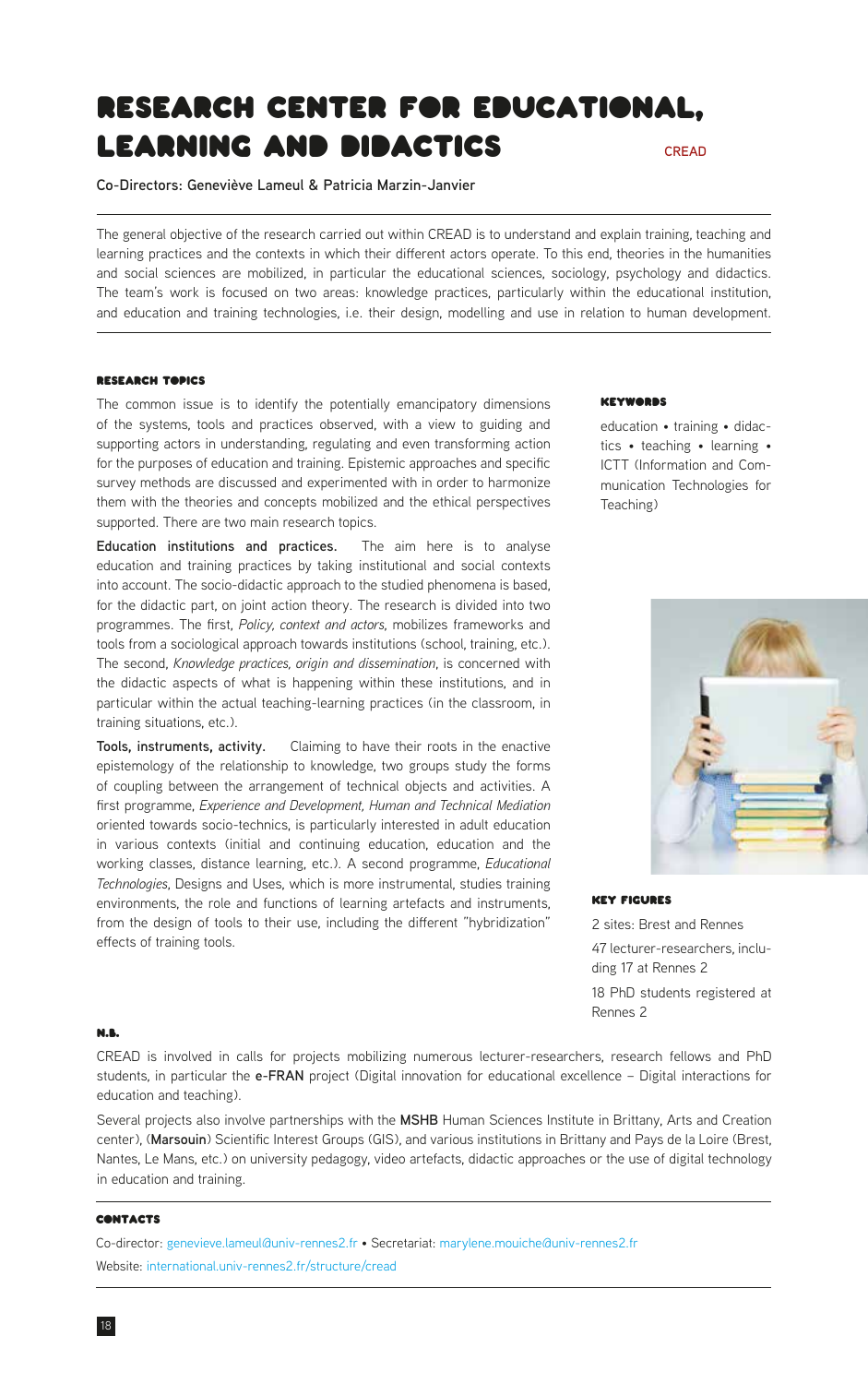# <span id="page-17-0"></span>Research Center for Educational, learning and didactics **CREAD**

**Co-Directors: Geneviève Lameul & Patricia Marzin-Janvier**

The general objective of the research carried out within CREAD is to understand and explain training, teaching and learning practices and the contexts in which their different actors operate. To this end, theories in the humanities and social sciences are mobilized, in particular the educational sciences, sociology, psychology and didactics. The team's work is focused on two areas: knowledge practices, particularly within the educational institution, and education and training technologies, i.e. their design, modelling and use in relation to human development.

# Research Topics

The common issue is to identify the potentially emancipatory dimensions of the systems, tools and practices observed, with a view to guiding and supporting actors in understanding, regulating and even transforming action for the purposes of education and training. Epistemic approaches and specific survey methods are discussed and experimented with in order to harmonize them with the theories and concepts mobilized and the ethical perspectives supported. There are two main research topics.

**Education institutions and practices.** The aim here is to analyse education and training practices by taking institutional and social contexts into account. The socio-didactic approach to the studied phenomena is based, for the didactic part, on joint action theory. The research is divided into two programmes. The first, *Policy, context and actors*, mobilizes frameworks and tools from a sociological approach towards institutions (school, training, etc.). The second, *Knowledge practices, origin and dissemination*, is concerned with the didactic aspects of what is happening within these institutions, and in particular within the actual teaching-learning practices (in the classroom, in training situations, etc.).

**Tools, instruments, activity.** Claiming to have their roots in the enactive epistemology of the relationship to knowledge, two groups study the forms of coupling between the arrangement of technical objects and activities. A first programme, *Experience and Development, Human and Technical Mediation* oriented towards socio-technics, is particularly interested in adult education in various contexts (initial and continuing education, education and the working classes, distance learning, etc.). A second programme, *Educational Technologies*, Designs and Uses, which is more instrumental, studies training environments, the role and functions of learning artefacts and instruments, from the design of tools to their use, including the different "hybridization" effects of training tools.

#### **KEYWORDS**

education • training • didactics • teaching • learning • ICTT (Information and Communication Technologies for Teaching)



#### Key Figures

2 sites: Brest and Rennes 47 lecturer-researchers, including 17 at Rennes 2 18 PhD students registered at Rennes 2

#### N.B.

CREAD is involved in calls for projects mobilizing numerous lecturer-researchers, research fellows and PhD students, in particular the **e-FRAN** project (Digital innovation for educational excellence – Digital interactions for education and teaching).

Several projects also involve partnerships with the **MSHB** Human Sciences Institute in Brittany, Arts and Creation center), (**Marsouin**) Scientific Interest Groups (GIS), and various institutions in Brittany and Pays de la Loire (Brest, Nantes, Le Mans, etc.) on university pedagogy, video artefacts, didactic approaches or the use of digital technology in education and training.

# **CONTACTS**

Co-director: [genevieve.lameul@univ-rennes2.fr](mailto:genevieve.lameul%40univ-rennes2.fr?subject=) • Secretariat: [marylene.mouiche@univ-rennes2.fr](mailto:marylene.mouiche%40univ-rennes2.fr?subject=) Website: [international.univ-rennes2.fr/structure/cread](http://international.univ-rennes2.fr/structure/cread)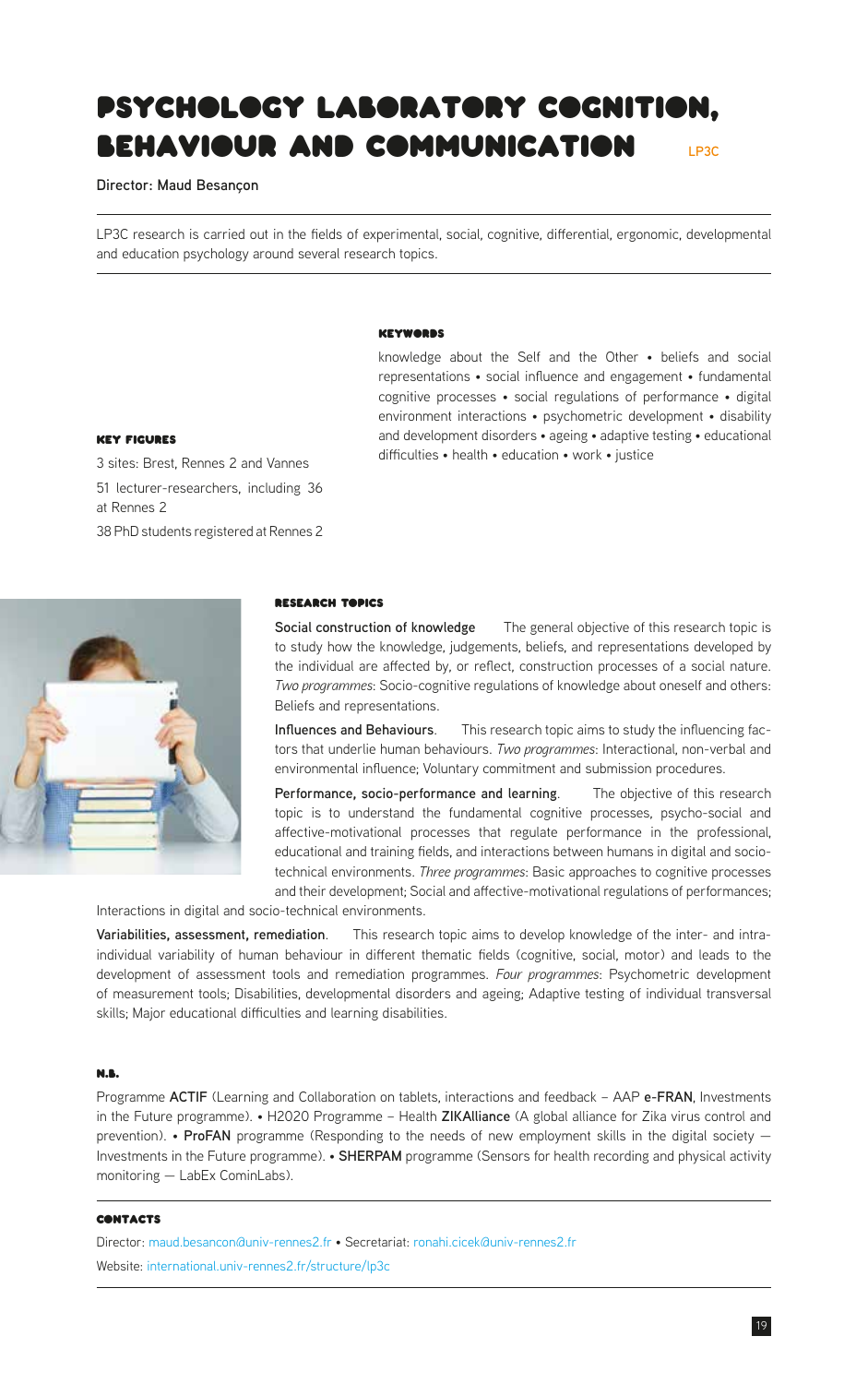# <span id="page-18-0"></span>Psychology laboratory cognition, behaviour and communication **LP3C**

### **Director: Maud Besançon**

LP3C research is carried out in the fields of experimental, social, cognitive, differential, ergonomic, developmental and education psychology around several research topics.

#### Keywords

knowledge about the Self and the Other • beliefs and social representations • social influence and engagement • fundamental cognitive processes • social regulations of performance • digital environment interactions • psychometric development • disability and development disorders • ageing • adaptive testing • educational difficulties • health • education • work • justice

# Key Figures

3 sites: Brest, Rennes 2 and Vannes 51 lecturer-researchers, including 36 at Rennes 2 38 PhD students registered at Rennes 2



#### Research Topics

**Social construction of knowledge** The general objective of this research topic is to study how the knowledge, judgements, beliefs, and representations developed by the individual are affected by, or reflect, construction processes of a social nature. *Two programmes*: Socio-cognitive regulations of knowledge about oneself and others: Beliefs and representations.

**Influences and Behaviours**. This research topic aims to study the influencing factors that underlie human behaviours. *Two programmes*: Interactional, non-verbal and environmental influence; Voluntary commitment and submission procedures.

**Performance, socio-performance and learning**. The objective of this research topic is to understand the fundamental cognitive processes, psycho-social and affective-motivational processes that regulate performance in the professional, educational and training fields, and interactions between humans in digital and sociotechnical environments. *Three programmes*: Basic approaches to cognitive processes and their development; Social and affective-motivational regulations of performances;

Interactions in digital and socio-technical environments.

**Variabilities, assessment, remediation**. This research topic aims to develop knowledge of the inter- and intraindividual variability of human behaviour in different thematic fields (cognitive, social, motor) and leads to the development of assessment tools and remediation programmes. *Four programmes*: Psychometric development of measurement tools; Disabilities, developmental disorders and ageing; Adaptive testing of individual transversal skills; Major educational difficulties and learning disabilities.

#### N.B.

Programme **ACTIF** (Learning and Collaboration on tablets, interactions and feedback – AAP **e-FRAN**, Investments in the Future programme). • H2020 Programme – Health **ZIKAlliance** (A global alliance for Zika virus control and prevention). • **ProFAN** programme (Responding to the needs of new employment skills in the digital society — Investments in the Future programme). • **SHERPAM** programme (Sensors for health recording and physical activity monitoring — LabEx CominLabs).

# **CONTACTS**

Director: [maud.besancon@univ-rennes2.fr](mailto:maud.besancon%40univ-rennes2.fr?subject=) • Secretariat: [ronahi.cicek@univ-rennes2.fr](mailto:ronahi.cicek%40univ-rennes2.fr?subject=) Website: [international.univ-rennes2.fr/structure/lp3c](http://international.univ-rennes2.fr/structure/lp3c)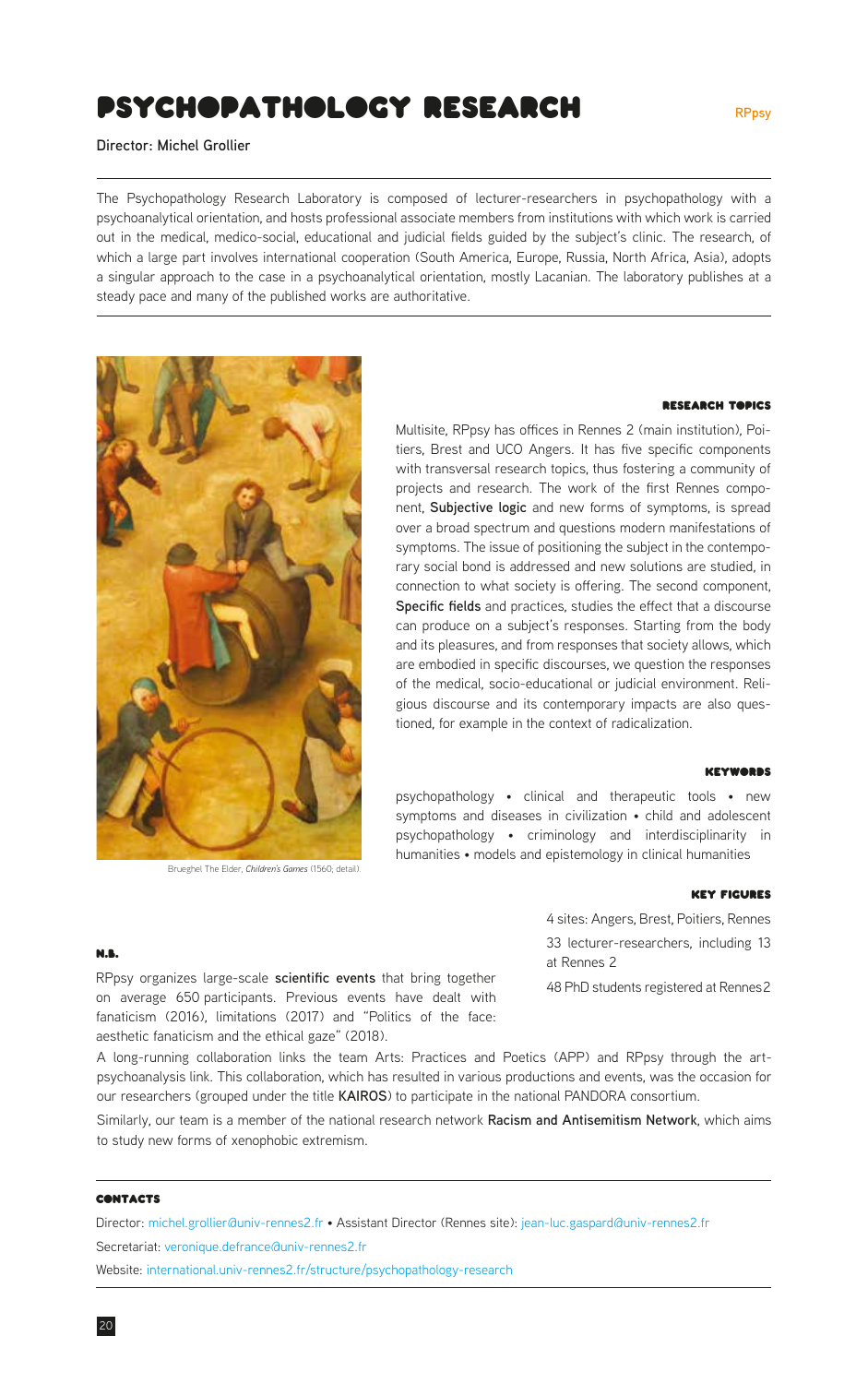# <span id="page-19-0"></span>psychopathology Research

**Director: Michel Grollier**

The Psychopathology Research Laboratory is composed of lecturer-researchers in psychopathology with a psychoanalytical orientation, and hosts professional associate members from institutions with which work is carried out in the medical, medico-social, educational and judicial fields guided by the subject's clinic. The research, of which a large part involves international cooperation (South America, Europe, Russia, North Africa, Asia), adopts a singular approach to the case in a psychoanalytical orientation, mostly Lacanian. The laboratory publishes at a steady pace and many of the published works are authoritative.



Brueghel The Elder, *Children's Games* (1560; detail).

# Research Topics

Multisite, RPpsy has offices in Rennes 2 (main institution), Poitiers, Brest and UCO Angers. It has five specific components with transversal research topics, thus fostering a community of projects and research. The work of the first Rennes component, **Subjective logic** and new forms of symptoms, is spread over a broad spectrum and questions modern manifestations of symptoms. The issue of positioning the subject in the contemporary social bond is addressed and new solutions are studied, in connection to what society is offering. The second component, **Specific fields** and practices, studies the effect that a discourse can produce on a subject's responses. Starting from the body and its pleasures, and from responses that society allows, which are embodied in specific discourses, we question the responses of the medical, socio-educational or judicial environment. Religious discourse and its contemporary impacts are also questioned, for example in the context of radicalization.

#### **KEYWORDS**

psychopathology • clinical and therapeutic tools • new symptoms and diseases in civilization • child and adolescent psychopathology • criminology and interdisciplinarity in humanities • models and epistemology in clinical humanities

#### Key Figures

4 sites: Angers, Brest, Poitiers, Rennes 33 lecturer-researchers, including 13 at Rennes 2

48 PhD students registered at Rennes 2

#### N.B.

RPpsy organizes large-scale **scientific events** that bring together on average 650 participants. Previous events have dealt with fanaticism (2016), limitations (2017) and "Politics of the face: aesthetic fanaticism and the ethical gaze" (2018).

A long-running collaboration links the team Arts: Practices and Poetics (APP) and RPpsy through the artpsychoanalysis link. This collaboration, which has resulted in various productions and events, was the occasion for our researchers (grouped under the title **KAIROS**) to participate in the national PANDORA consortium.

Similarly, our team is a member of the national research network **Racism and Antisemitism Network**, which aims to study new forms of xenophobic extremism.

#### **CONTACTS**

Director: [michel.grollier@univ-rennes2.fr](mailto:michel.grollier%40univ-rennes2.fr?subject=) • Assistant Director (Rennes site): [jean-luc.gaspard@univ-rennes2.fr](mailto:jean-luc.gaspard%40univ-rennes2.fr?subject=) Secretariat: [veronique.defrance@univ-rennes2.fr](mailto:veronique.defrance%40univ-rennes2.fr?subject=) Website: [international.univ-rennes2.fr/structure/psychopathology-research](https://international.univ-rennes2.fr/structure/psychopathology-research)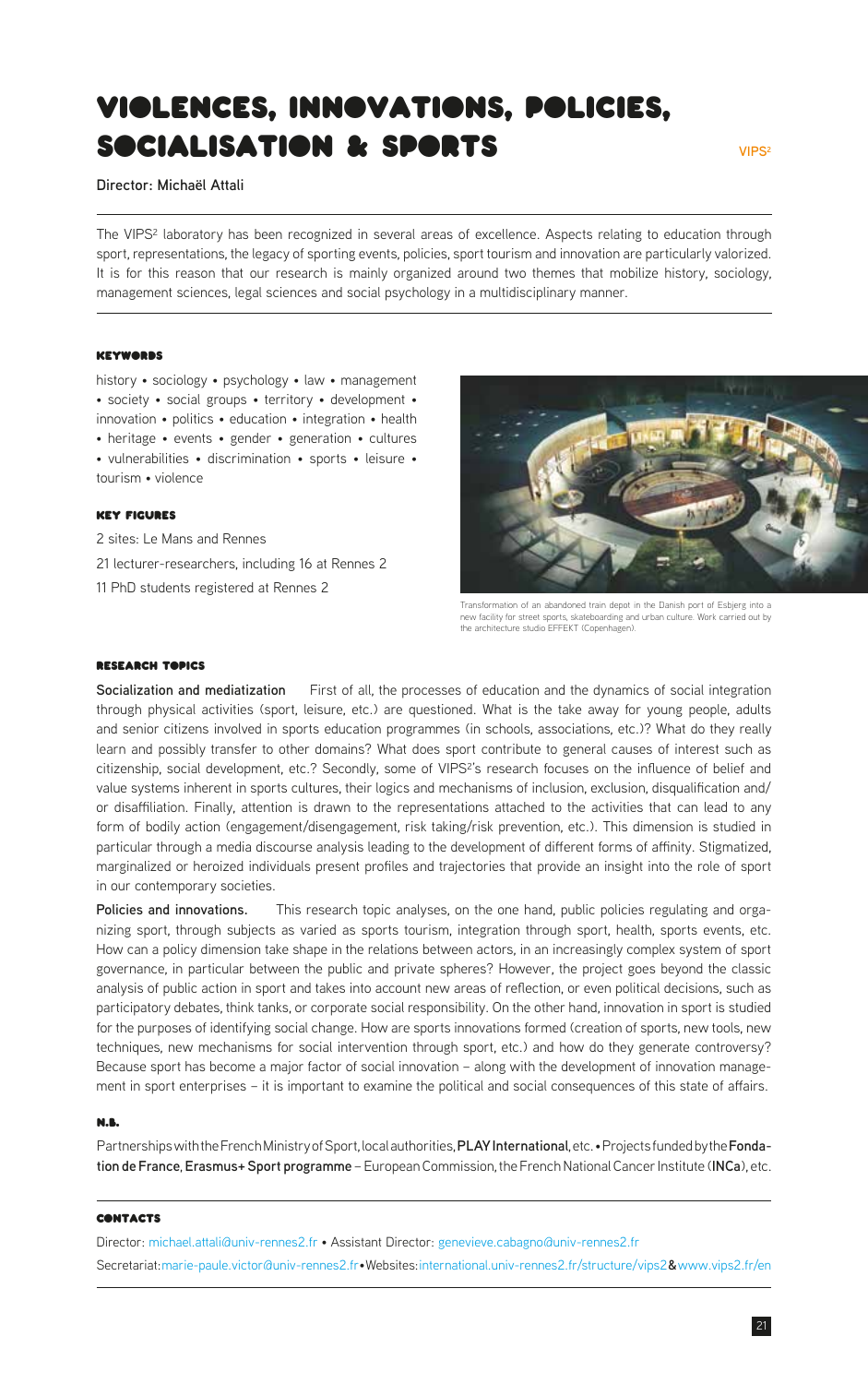# <span id="page-20-0"></span>Violences, innovations, policies, socialisation & sports

**Director: Michaël Attali**

The VIPS<sup>2</sup> laboratory has been recognized in several areas of excellence. Aspects relating to education through sport, representations, the legacy of sporting events, policies, sport tourism and innovation are particularly valorized. It is for this reason that our research is mainly organized around two themes that mobilize history, sociology, management sciences, legal sciences and social psychology in a multidisciplinary manner.

# **KEYWORDS**

history • sociology • psychology • law • management • society • social groups • territory • development • innovation • politics • education • integration • health • heritage • events • gender • generation • cultures • vulnerabilities • discrimination • sports • leisure • tourism • violence

# Key Figures

2 sites: Le Mans and Rennes 21 lecturer-researchers, including 16 at Rennes 2 11 PhD students registered at Rennes 2



Transformation of an abandoned train depot in the Danish port of Esbjerg into a new facility for street sports, skateboarding and urban culture. Work carried out by the architecture studio EFFEKT (Copenhagen).

#### Research Topics

**Socialization and mediatization** First of all, the processes of education and the dynamics of social integration through physical activities (sport, leisure, etc.) are questioned. What is the take away for young people, adults and senior citizens involved in sports education programmes (in schools, associations, etc.)? What do they really learn and possibly transfer to other domains? What does sport contribute to general causes of interest such as citizenship, social development, etc.? Secondly, some of VIPS²'s research focuses on the influence of belief and value systems inherent in sports cultures, their logics and mechanisms of inclusion, exclusion, disqualification and/ or disaffiliation. Finally, attention is drawn to the representations attached to the activities that can lead to any form of bodily action (engagement/disengagement, risk taking/risk prevention, etc.). This dimension is studied in particular through a media discourse analysis leading to the development of different forms of affinity. Stigmatized, marginalized or heroized individuals present profiles and trajectories that provide an insight into the role of sport in our contemporary societies.

**Policies and innovations.** This research topic analyses, on the one hand, public policies regulating and organizing sport, through subjects as varied as sports tourism, integration through sport, health, sports events, etc. How can a policy dimension take shape in the relations between actors, in an increasingly complex system of sport governance, in particular between the public and private spheres? However, the project goes beyond the classic analysis of public action in sport and takes into account new areas of reflection, or even political decisions, such as participatory debates, think tanks, or corporate social responsibility. On the other hand, innovation in sport is studied for the purposes of identifying social change. How are sports innovations formed (creation of sports, new tools, new techniques, new mechanisms for social intervention through sport, etc.) and how do they generate controversy? Because sport has become a major factor of social innovation – along with the development of innovation management in sport enterprises – it is important to examine the political and social consequences of this state of affairs.

### N.B.

Partnerships with the French Ministry of Sport, local authorities, **PLAY International**, etc. • Projects funded by the **Fondation de France**, **Erasmus+ Sport programme** – European Commission, the French National Cancer Institute (**INCa**), etc.

#### **CONTACTS**

Director: [michael.attali@univ-rennes2.fr](mailto:michael.attali%40univ-rennes2.fr?subject=) • Assistant Director: [genevieve.cabagno@univ-rennes2.fr](mailto:genevieve.cabagno%40univ-rennes2.fr?subject=) Secretariat: [marie-paule.victor@univ-rennes2.fr](mailto:marie-paule.victor%40univ-rennes2.fr?subject=)• Websites: [international.univ-rennes2.fr/structure/vips2](https://international.univ-rennes2.fr/structure/vips2)**&**[www.vips2.fr/en](https://www.vips2.fr/en/)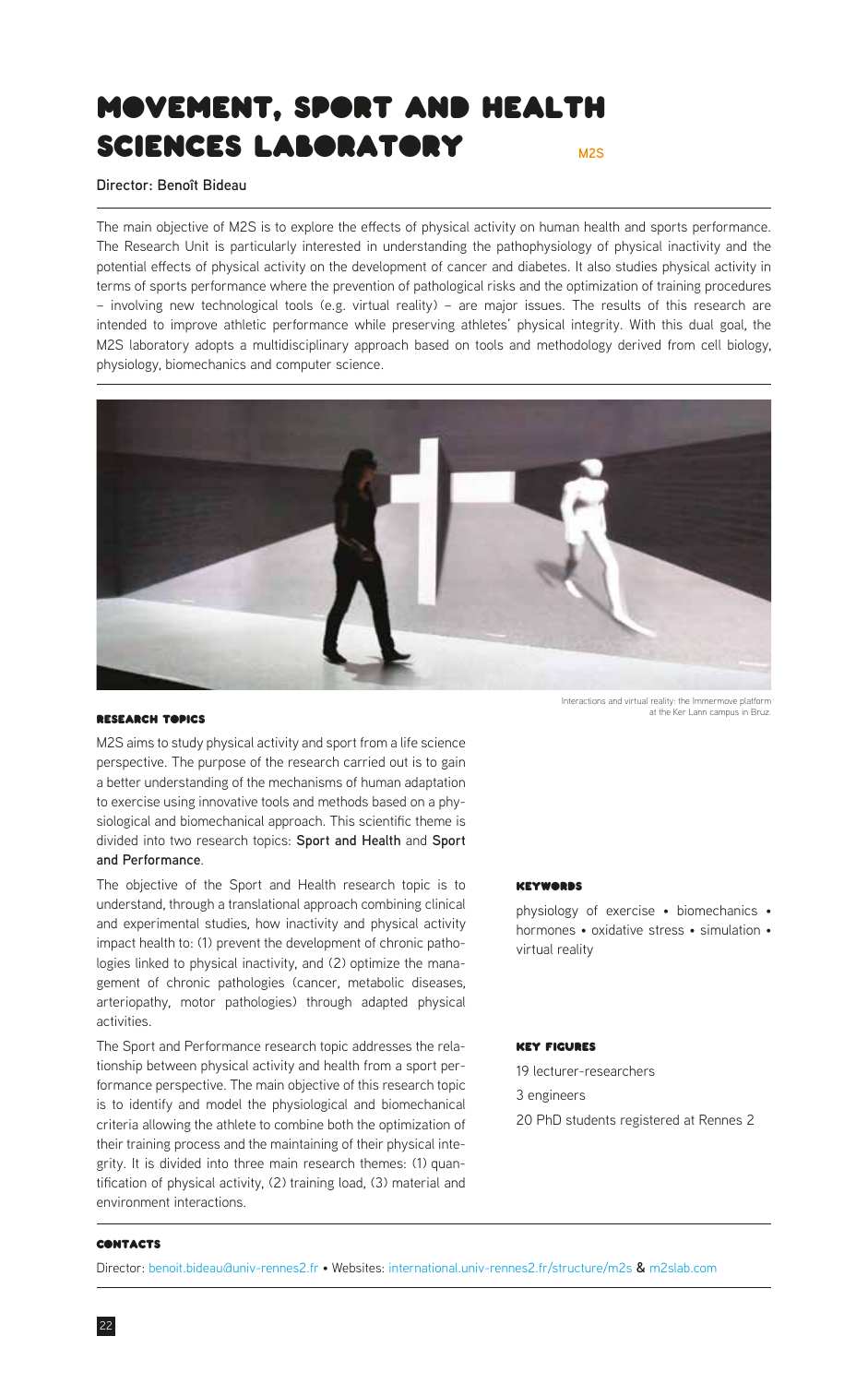# <span id="page-21-0"></span>**M2S** Movement, Sport and Health sciences Laboratory

**Director: Benoît Bideau**

The main objective of M2S is to explore the effects of physical activity on human health and sports performance. The Research Unit is particularly interested in understanding the pathophysiology of physical inactivity and the potential effects of physical activity on the development of cancer and diabetes. It also studies physical activity in terms of sports performance where the prevention of pathological risks and the optimization of training procedures – involving new technological tools (e.g. virtual reality) – are major issues. The results of this research are intended to improve athletic performance while preserving athletes' physical integrity. With this dual goal, the M2S laboratory adopts a multidisciplinary approach based on tools and methodology derived from cell biology, physiology, biomechanics and computer science.



# Research Topics

M2S aims to study physical activity and sport from a life science perspective. The purpose of the research carried out is to gain a better understanding of the mechanisms of human adaptation to exercise using innovative tools and methods based on a physiological and biomechanical approach. This scientific theme is divided into two research topics: **Sport and Health** and **Sport and Performance**.

The objective of the Sport and Health research topic is to understand, through a translational approach combining clinical and experimental studies, how inactivity and physical activity impact health to: (1) prevent the development of chronic pathologies linked to physical inactivity, and (2) optimize the management of chronic pathologies (cancer, metabolic diseases, arteriopathy, motor pathologies) through adapted physical activities.

The Sport and Performance research topic addresses the relationship between physical activity and health from a sport performance perspective. The main objective of this research topic is to identify and model the physiological and biomechanical criteria allowing the athlete to combine both the optimization of their training process and the maintaining of their physical integrity. It is divided into three main research themes: (1) quantification of physical activity, (2) training load, (3) material and environment interactions.

Interactions and virtual reality: the Immermove platform at the Ker Lann campus in Bruz.

#### Keywords

physiology of exercise • biomechanics • hormones • oxidative stress • simulation • virtual reality

# Key Figures

19 lecturer-researchers 3 engineers 20 PhD students registered at Rennes 2

# **CONTACTS**

Director: [benoit.bideau@univ-rennes2.fr](mailto:benoit.bideau%40univ-rennes2.fr?subject=) • Websites: [international.univ-rennes2.fr/structure/m2s](https://international.univ-rennes2.fr/structure/m2s) **&** [m2slab.com](http://m2slab.com)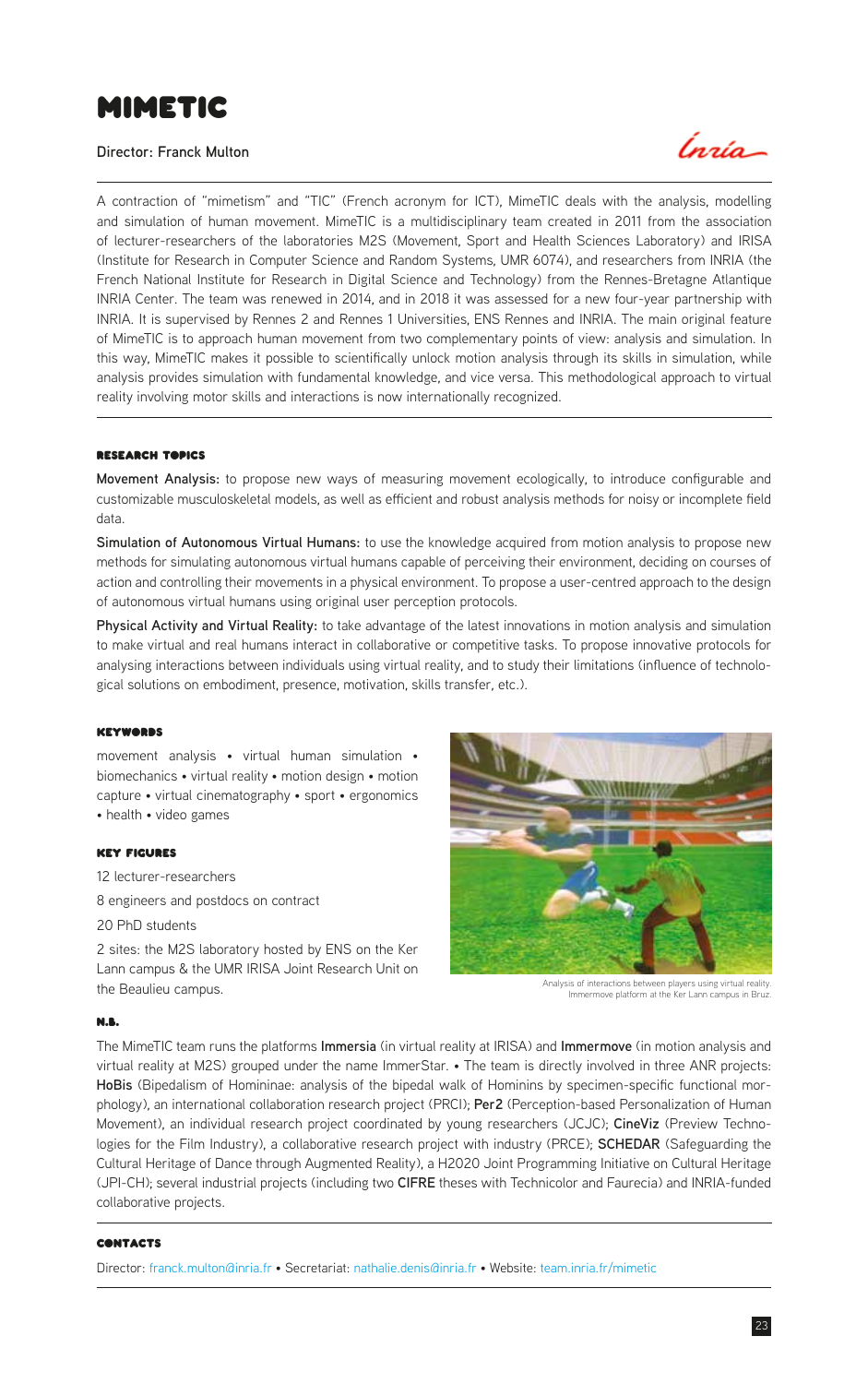# <span id="page-22-0"></span>MimeTIC

# **Director: Franck Multon**



A contraction of "mimetism" and "TIC" (French acronym for ICT), MimeTIC deals with the analysis, modelling and simulation of human movement. MimeTIC is a multidisciplinary team created in 2011 from the association of lecturer-researchers of the laboratories M2S (Movement, Sport and Health Sciences Laboratory) and IRISA (Institute for Research in Computer Science and Random Systems, UMR 6074), and researchers from INRIA (the French National Institute for Research in Digital Science and Technology) from the Rennes-Bretagne Atlantique INRIA Center. The team was renewed in 2014, and in 2018 it was assessed for a new four-year partnership with INRIA. It is supervised by Rennes 2 and Rennes 1 Universities, ENS Rennes and INRIA. The main original feature of MimeTIC is to approach human movement from two complementary points of view: analysis and simulation. In this way, MimeTIC makes it possible to scientifically unlock motion analysis through its skills in simulation, while analysis provides simulation with fundamental knowledge, and vice versa. This methodological approach to virtual reality involving motor skills and interactions is now internationally recognized.

#### **RESEARCH TOPICS**

**Movement Analysis:** to propose new ways of measuring movement ecologically, to introduce configurable and customizable musculoskeletal models, as well as efficient and robust analysis methods for noisy or incomplete field data.

**Simulation of Autonomous Virtual Humans:** to use the knowledge acquired from motion analysis to propose new methods for simulating autonomous virtual humans capable of perceiving their environment, deciding on courses of action and controlling their movements in a physical environment. To propose a user-centred approach to the design of autonomous virtual humans using original user perception protocols.

**Physical Activity and Virtual Reality:** to take advantage of the latest innovations in motion analysis and simulation to make virtual and real humans interact in collaborative or competitive tasks. To propose innovative protocols for analysing interactions between individuals using virtual reality, and to study their limitations (influence of technological solutions on embodiment, presence, motivation, skills transfer, etc.).

#### Keywords

movement analysis • virtual human simulation • biomechanics • virtual reality • motion design • motion capture • virtual cinematography • sport • ergonomics • health • video games

#### Key Figures

12 lecturer-researchers

8 engineers and postdocs on contract

20 PhD students

2 sites: the M2S laboratory hosted by ENS on the Ker Lann campus & the UMR IRISA Joint Research Unit on the Beaulieu campus.



Immermove platform at the Ker Lann campus in Bruz.

#### N.B.

The MimeTIC team runs the platforms **Immersia** (in virtual reality at IRISA) and **Immermove** (in motion analysis and virtual reality at M2S) grouped under the name ImmerStar. • The team is directly involved in three ANR projects: **HoBis** (Bipedalism of Homininae: analysis of the bipedal walk of Hominins by specimen-specific functional morphology), an international collaboration research project (PRCI); **Per2** (Perception-based Personalization of Human Movement), an individual research project coordinated by young researchers (JCJC); **CineViz** (Preview Technologies for the Film Industry), a collaborative research project with industry (PRCE); **SCHEDAR** (Safeguarding the Cultural Heritage of Dance through Augmented Reality), a H2020 Joint Programming Initiative on Cultural Heritage (JPI-CH); several industrial projects (including two **CIFRE** theses with Technicolor and Faurecia) and INRIA-funded collaborative projects.

#### **CONTACTS**

Director: [franck.multon@inria.fr](mailto:franck.multon%40inria.fr?subject=) • Secretariat: [nathalie.denis@inria.fr](mailto:nathalie.denis%40inria.fr?subject=) • Website: [team.inria.fr/mimetic](https://team.inria.fr/mimetic/)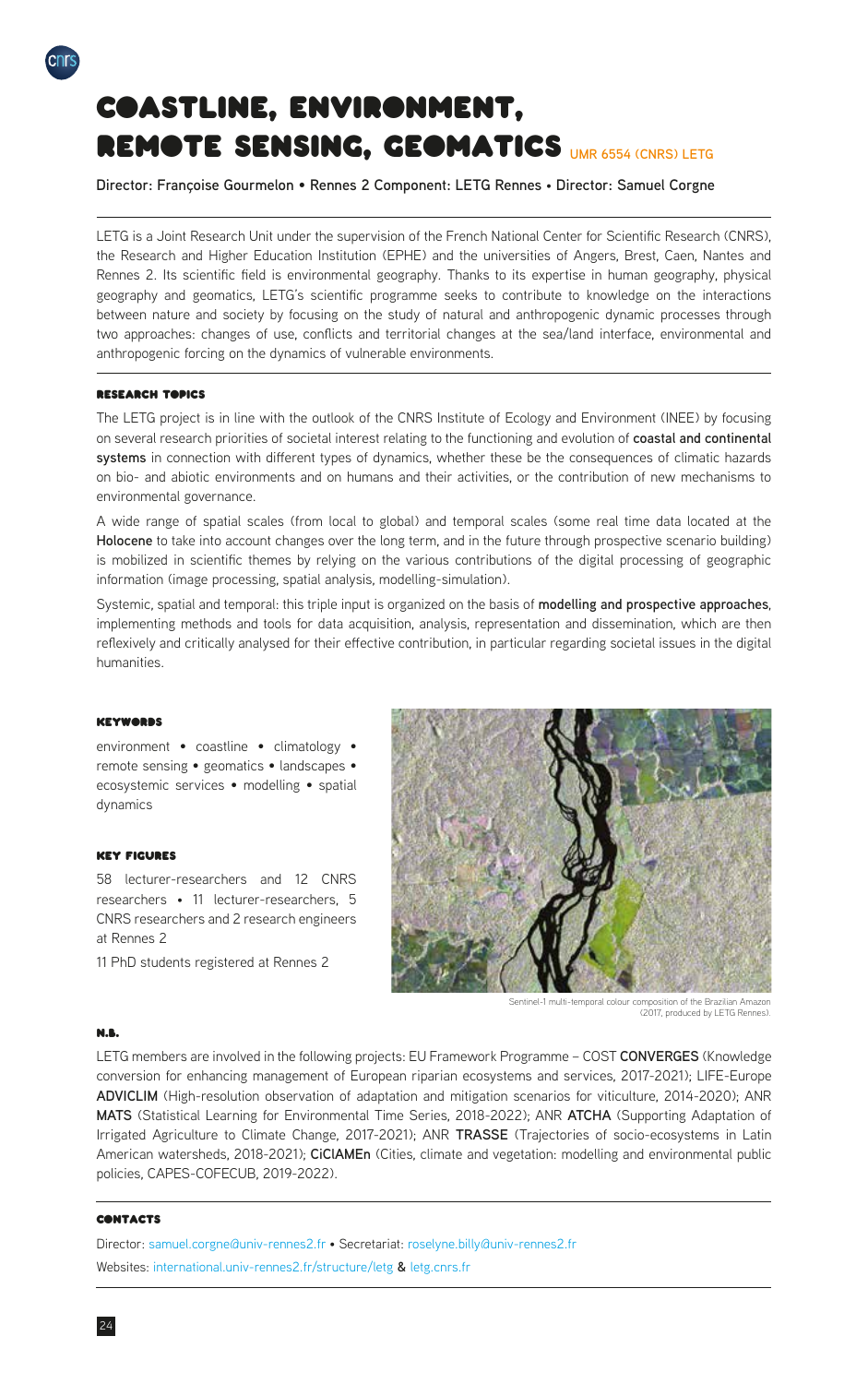# Coastline, environment, REMOTE SENSING, GEOMATICS UMR 6554 (CNRS) LETG

**Director: Françoise Gourmelon** • **Rennes 2 Component: LETG Rennes** • **Director: Samuel Corgne**

LETG is a Joint Research Unit under the supervision of the French National Center for Scientific Research (CNRS), the Research and Higher Education Institution (EPHE) and the universities of Angers, Brest, Caen, Nantes and Rennes 2. Its scientific field is environmental geography. Thanks to its expertise in human geography, physical geography and geomatics, LETG's scientific programme seeks to contribute to knowledge on the interactions between nature and society by focusing on the study of natural and anthropogenic dynamic processes through two approaches: changes of use, conflicts and territorial changes at the sea/land interface, environmental and anthropogenic forcing on the dynamics of vulnerable environments.

## Research Topics

<span id="page-23-0"></span>cnr

The LETG project is in line with the outlook of the CNRS Institute of Ecology and Environment (INEE) by focusing on several research priorities of societal interest relating to the functioning and evolution of **coastal and continental systems** in connection with different types of dynamics, whether these be the consequences of climatic hazards on bio- and abiotic environments and on humans and their activities, or the contribution of new mechanisms to environmental governance.

A wide range of spatial scales (from local to global) and temporal scales (some real time data located at the **Holocene** to take into account changes over the long term, and in the future through prospective scenario building) is mobilized in scientific themes by relying on the various contributions of the digital processing of geographic information (image processing, spatial analysis, modelling-simulation).

Systemic, spatial and temporal: this triple input is organized on the basis of **modelling and prospective approaches**, implementing methods and tools for data acquisition, analysis, representation and dissemination, which are then reflexively and critically analysed for their effective contribution, in particular regarding societal issues in the digital humanities.

#### **Keywords**

environment • coastline • climatology • remote sensing • geomatics • landscapes • ecosystemic services • modelling • spatial dynamics

# Key Figures

58 lecturer-researchers and 12 CNRS researchers • 11 lecturer-researchers, 5 CNRS researchers and 2 research engineers at Rennes 2

11 PhD students registered at Rennes 2



Sentinel-1 multi-temporal colour composition of the Brazilian Amazon (2017, produced by LETG Rennes).

### N.B.

LETG members are involved in the following projects: EU Framework Programme – COST **CONVERGES** (Knowledge conversion for enhancing management of European riparian ecosystems and services, 2017-2021); LIFE-Europe **ADVICLIM** (High-resolution observation of adaptation and mitigation scenarios for viticulture, 2014-2020); ANR **MATS** (Statistical Learning for Environmental Time Series, 2018-2022); ANR **ATCHA** (Supporting Adaptation of Irrigated Agriculture to Climate Change, 2017-2021); ANR **TRASSE** (Trajectories of socio-ecosystems in Latin American watersheds, 2018-2021); **CiClAMEn** (Cities, climate and vegetation: modelling and environmental public policies, CAPES-COFECUB, 2019-2022).

# **CONTACTS**

Director: [samuel.corgne@univ-rennes2.fr](mailto:samuel.corgne%40univ-rennes2.fr?subject=) • Secretariat: [roselyne.billy@univ-rennes2.fr](mailto:roselyne.billy%40univ-rennes2.fr?subject=) Websites: [international.univ-rennes2.fr/structure/letg](https://international.univ-rennes2.fr/structure/letg) **&** [letg.cnrs.fr](https://letg.cnrs.fr/mot20.html?lang=en)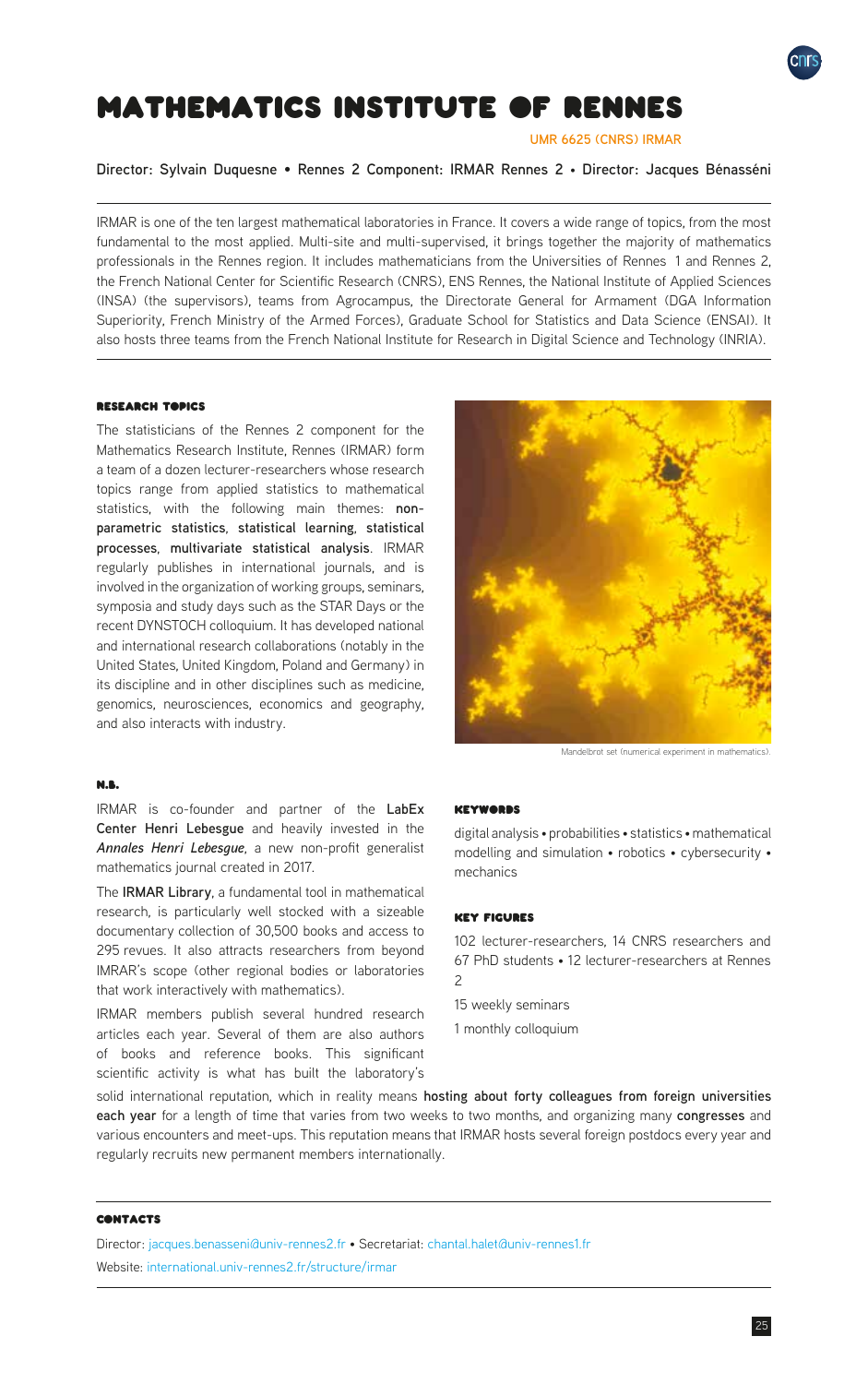

# <span id="page-24-0"></span>Mathematics Institute of Rennes

**UMR 6625 (CNRS) IRMAR**

**Director: Sylvain Duquesne** • **Rennes 2 Component: IRMAR Rennes 2** • **Director: Jacques Bénasséni**

IRMAR is one of the ten largest mathematical laboratories in France. It covers a wide range of topics, from the most fundamental to the most applied. Multi-site and multi-supervised, it brings together the majority of mathematics professionals in the Rennes region. It includes mathematicians from the Universities of Rennes 1 and Rennes 2, the French National Center for Scientific Research (CNRS), ENS Rennes, the National Institute of Applied Sciences (INSA) (the supervisors), teams from Agrocampus, the Directorate General for Armament (DGA Information Superiority, French Ministry of the Armed Forces), Graduate School for Statistics and Data Science (ENSAI). It also hosts three teams from the French National Institute for Research in Digital Science and Technology (INRIA).

# Research Topics

The statisticians of the Rennes 2 component for the Mathematics Research Institute, Rennes (IRMAR) form a team of a dozen lecturer-researchers whose research topics range from applied statistics to mathematical statistics, with the following main themes: **nonparametric statistics**, **statistical learning**, **statistical processes**, **multivariate statistical analysis**. IRMAR regularly publishes in international journals, and is involved in the organization of working groups, seminars, symposia and study days such as the STAR Days or the recent DYNSTOCH colloquium. It has developed national and international research collaborations (notably in the United States, United Kingdom, Poland and Germany) in its discipline and in other disciplines such as medicine, genomics, neurosciences, economics and geography, and also interacts with industry.



Mandelbrot set (numerical experiment in mathematics).

#### N.B.

IRMAR is co-founder and partner of the **LabEx Center Henri Lebesgue** and heavily invested in the *Annales Henri Lebesgue*, a new non-profit generalist mathematics journal created in 2017.

The **IRMAR Library**, a fundamental tool in mathematical research, is particularly well stocked with a sizeable documentary collection of 30,500 books and access to 295 revues. It also attracts researchers from beyond IMRAR's scope (other regional bodies or laboratories that work interactively with mathematics).

IRMAR members publish several hundred research articles each year. Several of them are also authors of books and reference books. This significant scientific activity is what has built the laboratory's

#### **KEYWORDS**

digital analysis • probabilities • statistics • mathematical modelling and simulation • robotics • cybersecurity • mechanics

# Key Figures

102 lecturer-researchers, 14 CNRS researchers and 67 PhD students • 12 lecturer-researchers at Rennes  $\mathfrak{D}$ 

- 15 weekly seminars
- 1 monthly colloquium

solid international reputation, which in reality means **hosting about forty colleagues from foreign universities each year** for a length of time that varies from two weeks to two months, and organizing many **congresses** and various encounters and meet-ups. This reputation means that IRMAR hosts several foreign postdocs every year and regularly recruits new permanent members internationally.

# **CONTACTS**

Director: [jacques.benasseni@univ-rennes2.fr](mailto:jacques.benasseni%40univ-rennes2.fr?subject=) • Secretariat: [chantal.halet@univ-rennes1.fr](mailto:chantal.halet%40univ-rennes1.fr?subject=) Website: [international.univ-rennes2.fr/structure/irmar](https://international.univ-rennes2.fr/structure/irmar)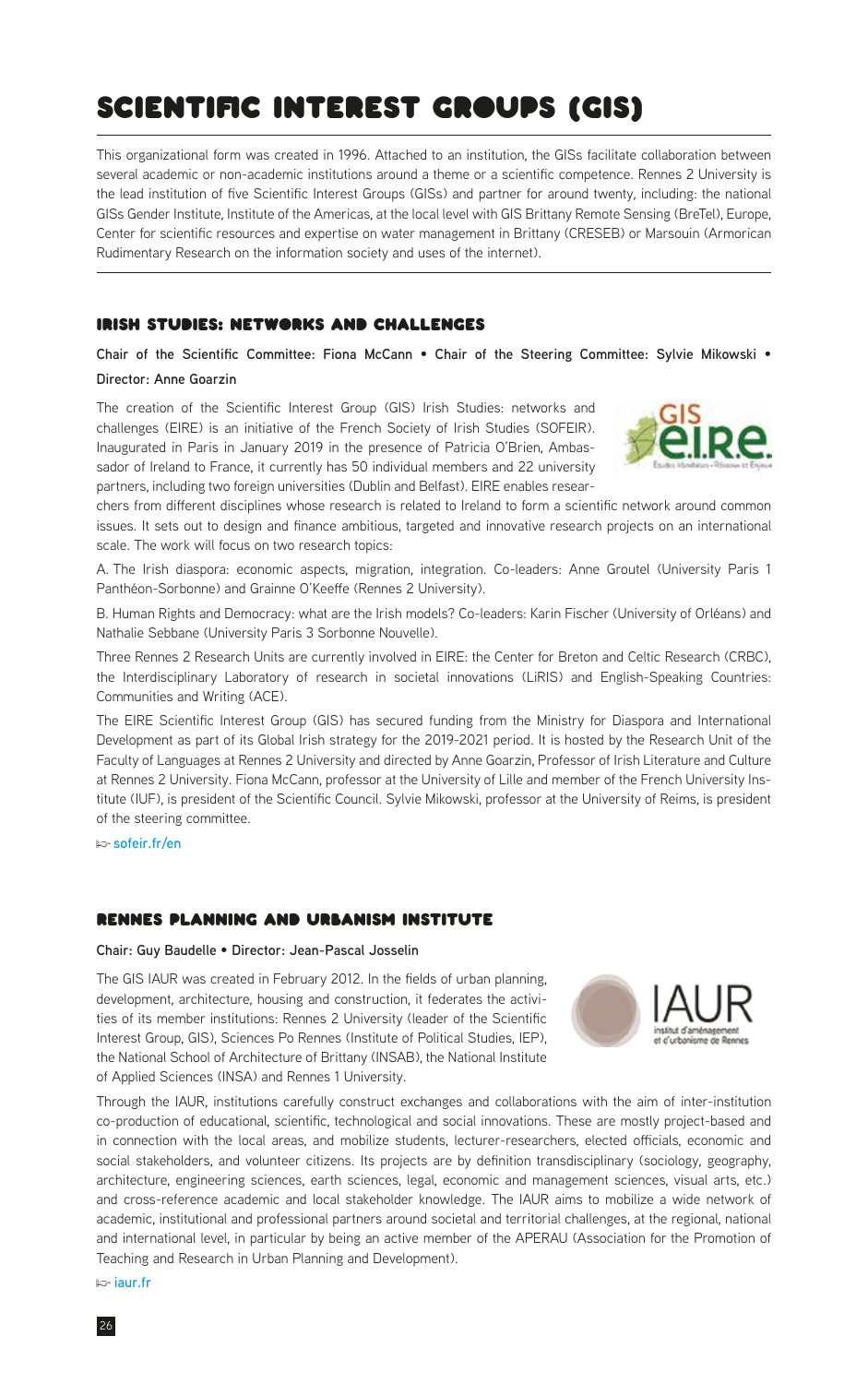# <span id="page-25-0"></span>Scientific Interest Groups (GIS)

This organizational form was created in 1996. Attached to an institution, the GISs facilitate collaboration between several academic or non-academic institutions around a theme or a scientific competence. Rennes 2 University is the lead institution of five Scientific Interest Groups (GISs) and partner for around twenty, including: the national GISs Gender Institute, Institute of the Americas, at the local level with GIS Brittany Remote Sensing (BreTel), Europe, Center for scientific resources and expertise on water management in Brittany (CRESEB) or Marsouin (Armorican Rudimentary Research on the information society and uses of the internet).

# Irish Studies: Networks and Challenges

**Chair of the Scientific Committee: Fiona McCann** • **Chair of the Steering Committee: Sylvie Mikowski** • **Director: Anne Goarzin**

The creation of the Scientific Interest Group (GIS) Irish Studies: networks and challenges (EIRE) is an initiative of the French Society of Irish Studies (SOFEIR). Inaugurated in Paris in January 2019 in the presence of Patricia O'Brien, Ambassador of Ireland to France, it currently has 50 individual members and 22 university partners, including two foreign universities (Dublin and Belfast). EIRE enables resear-



chers from different disciplines whose research is related to Ireland to form a scientific network around common issues. It sets out to design and finance ambitious, targeted and innovative research projects on an international scale. The work will focus on two research topics:

A. The Irish diaspora: economic aspects, migration, integration. Co-leaders: Anne Groutel (University Paris 1 Panthéon-Sorbonne) and Grainne O'Keeffe (Rennes 2 University).

B. Human Rights and Democracy: what are the Irish models? Co-leaders: Karin Fischer (University of Orléans) and Nathalie Sebbane (University Paris 3 Sorbonne Nouvelle).

Three Rennes 2 Research Units are currently involved in EIRE: the Center for Breton and Celtic Research (CRBC), the Interdisciplinary Laboratory of research in societal innovations (LiRIS) and English-Speaking Countries: Communities and Writing (ACE).

The EIRE Scientific Interest Group (GIS) has secured funding from the Ministry for Diaspora and International Development as part of its Global Irish strategy for the 2019-2021 period. It is hosted by the Research Unit of the Faculty of Languages at Rennes 2 University and directed by Anne Goarzin, Professor of Irish Literature and Culture at Rennes 2 University. Fiona McCann, professor at the University of Lille and member of the French University Institute (IUF), is president of the Scientific Council. Sylvie Mikowski, professor at the University of Reims, is president of the steering committee.

**p [sofeir.fr/en](http://sofeir.fr/en/recherche/groupement-dinteret-scientifique-eire)**

# Rennes Planning and Urbanism Institute

# **Chair: Guy Baudelle** • **Director: Jean-Pascal Josselin**

The GIS IAUR was created in February 2012. In the fields of urban planning, development, architecture, housing and construction, it federates the activities of its member institutions: Rennes 2 University (leader of the Scientific Interest Group, GIS), Sciences Po Rennes (Institute of Political Studies, IEP), the National School of Architecture of Brittany (INSAB), the National Institute of Applied Sciences (INSA) and Rennes 1 University.



Through the IAUR, institutions carefully construct exchanges and collaborations with the aim of inter-institution co-production of educational, scientific, technological and social innovations. These are mostly project-based and in connection with the local areas, and mobilize students, lecturer-researchers, elected officials, economic and social stakeholders, and volunteer citizens. Its projects are by definition transdisciplinary (sociology, geography, architecture, engineering sciences, earth sciences, legal, economic and management sciences, visual arts, etc.) and cross-reference academic and local stakeholder knowledge. The IAUR aims to mobilize a wide network of academic, institutional and professional partners around societal and territorial challenges, at the regional, national and international level, in particular by being an active member of the APERAU (Association for the Promotion of Teaching and Research in Urban Planning and Development).

**p [iaur.fr](http://www.iaur.fr)**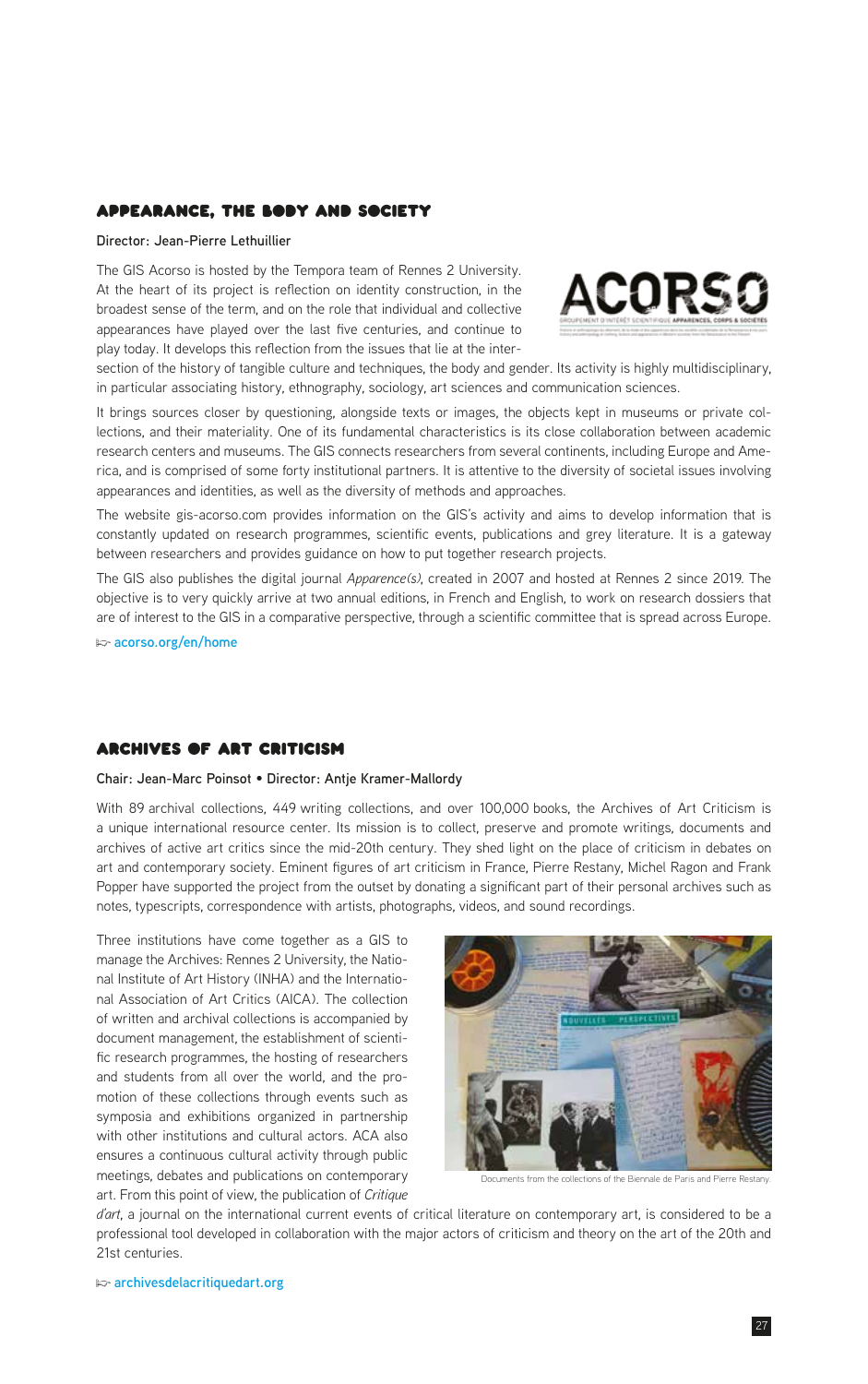# Appearance, the Body and Society

### **Director: Jean-Pierre Lethuillier**

The GIS Acorso is hosted by the Tempora team of Rennes 2 University. At the heart of its project is reflection on identity construction, in the broadest sense of the term, and on the role that individual and collective appearances have played over the last five centuries, and continue to play today. It develops this reflection from the issues that lie at the inter-



section of the history of tangible culture and techniques, the body and gender. Its activity is highly multidisciplinary, in particular associating history, ethnography, sociology, art sciences and communication sciences.

It brings sources closer by questioning, alongside texts or images, the objects kept in museums or private collections, and their materiality. One of its fundamental characteristics is its close collaboration between academic research centers and museums. The GIS connects researchers from several continents, including Europe and America, and is comprised of some forty institutional partners. It is attentive to the diversity of societal issues involving appearances and identities, as well as the diversity of methods and approaches.

The website gis-acorso.com provides information on the GIS's activity and aims to develop information that is constantly updated on research programmes, scientific events, publications and grey literature. It is a gateway between researchers and provides guidance on how to put together research projects.

The GIS also publishes the digital journal *Apparence(s)*, created in 2007 and hosted at Rennes 2 since 2019. The objective is to very quickly arrive at two annual editions, in French and English, to work on research dossiers that are of interest to the GIS in a comparative perspective, through a scientific committee that is spread across Europe.

**p [acorso.org/en/home](https://acorso.org/en/home/)**

# Archives of Art Criticism

# **Chair: Jean-Marc Poinsot** • **Director: Antje Kramer-Mallordy**

With 89 archival collections, 449 writing collections, and over 100,000 books, the Archives of Art Criticism is a unique international resource center. Its mission is to collect, preserve and promote writings, documents and archives of active art critics since the mid-20th century. They shed light on the place of criticism in debates on art and contemporary society. Eminent figures of art criticism in France, Pierre Restany, Michel Ragon and Frank Popper have supported the project from the outset by donating a significant part of their personal archives such as notes, typescripts, correspondence with artists, photographs, videos, and sound recordings.

Three institutions have come together as a GIS to manage the Archives: Rennes 2 University, the National Institute of Art History (INHA) and the International Association of Art Critics (AICA). The collection of written and archival collections is accompanied by document management, the establishment of scientific research programmes, the hosting of researchers and students from all over the world, and the promotion of these collections through events such as symposia and exhibitions organized in partnership with other institutions and cultural actors. ACA also ensures a continuous cultural activity through public meetings, debates and publications on contemporary art. From this point of view, the publication of *Critique* 



Documents from the collections of the Biennale de Paris and Pierre Restany.

*d'art*, a journal on the international current events of critical literature on contemporary art, is considered to be a professional tool developed in collaboration with the major actors of criticism and theory on the art of the 20th and 21st centuries.

**p [archivesdelacritiquedart.org](https://www.archivesdelacritiquedart.org)**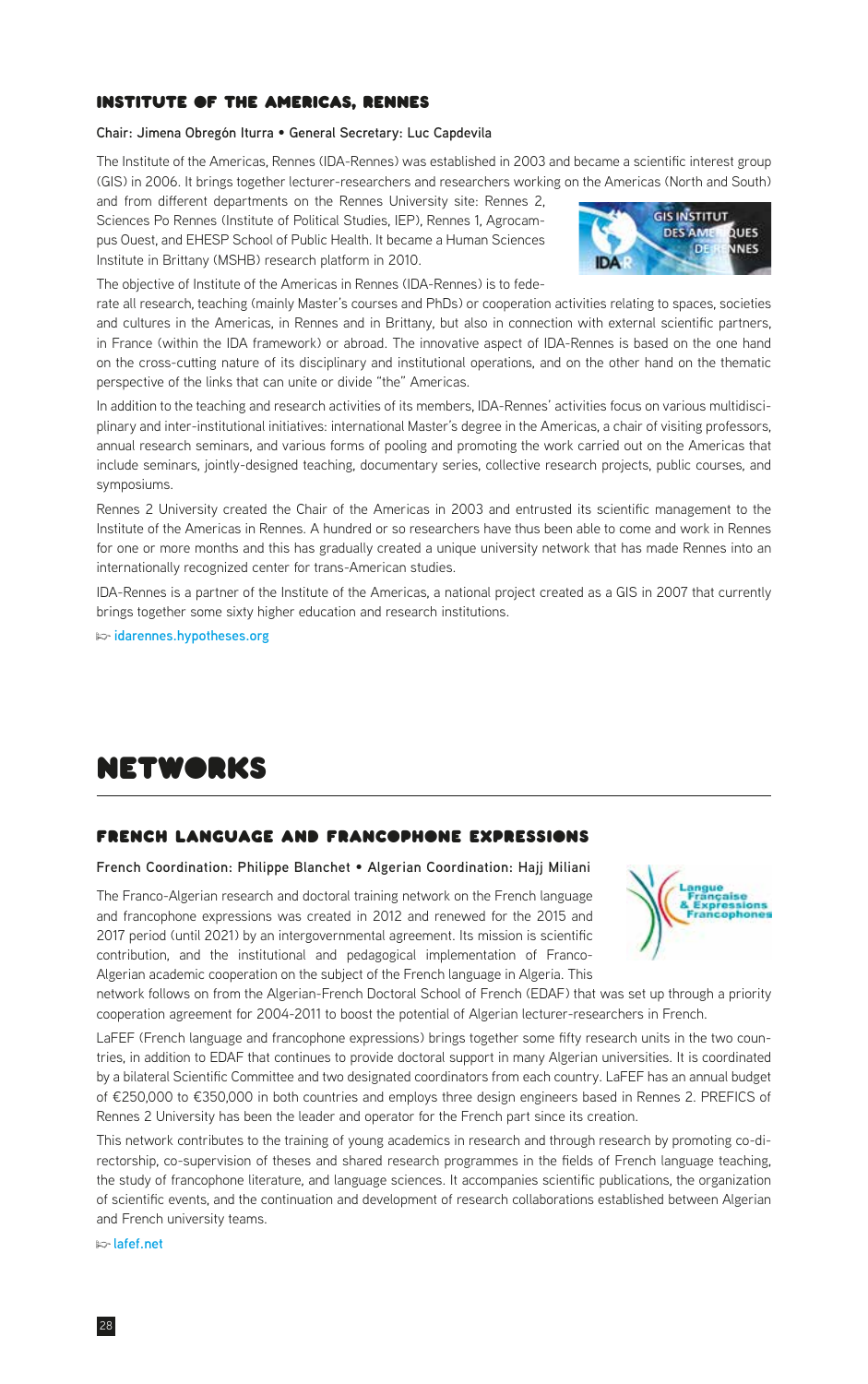# <span id="page-27-0"></span>Institute of the Americas, Rennes

#### **Chair: Jimena Obregón Iturra** • **General Secretary: Luc Capdevila**

The Institute of the Americas, Rennes (IDA-Rennes) was established in 2003 and became a scientific interest group (GIS) in 2006. It brings together lecturer-researchers and researchers working on the Americas (North and South)

and from different departments on the Rennes University site: Rennes 2, Sciences Po Rennes (Institute of Political Studies, IEP), Rennes 1, Agrocampus Ouest, and EHESP School of Public Health. It became a Human Sciences Institute in Brittany (MSHB) research platform in 2010.



The objective of Institute of the Americas in Rennes (IDA-Rennes) is to fede-

rate all research, teaching (mainly Master's courses and PhDs) or cooperation activities relating to spaces, societies and cultures in the Americas, in Rennes and in Brittany, but also in connection with external scientific partners, in France (within the IDA framework) or abroad. The innovative aspect of IDA-Rennes is based on the one hand on the cross-cutting nature of its disciplinary and institutional operations, and on the other hand on the thematic perspective of the links that can unite or divide "the" Americas.

In addition to the teaching and research activities of its members, IDA-Rennes' activities focus on various multidisciplinary and inter-institutional initiatives: international Master's degree in the Americas, a chair of visiting professors, annual research seminars, and various forms of pooling and promoting the work carried out on the Americas that include seminars, jointly-designed teaching, documentary series, collective research projects, public courses, and symposiums.

Rennes 2 University created the Chair of the Americas in 2003 and entrusted its scientific management to the Institute of the Americas in Rennes. A hundred or so researchers have thus been able to come and work in Rennes for one or more months and this has gradually created a unique university network that has made Rennes into an internationally recognized center for trans-American studies.

IDA-Rennes is a partner of the Institute of the Americas, a national project created as a GIS in 2007 that currently brings together some sixty higher education and research institutions.

**p [idarennes.hypotheses.org](https://idarennes.hypotheses.org)**

# networks

# French language and francophone expressions

# **French Coordination: Philippe Blanchet** • **Algerian Coordination: Hajj Miliani**

The Franco-Algerian research and doctoral training network on the French language and francophone expressions was created in 2012 and renewed for the 2015 and 2017 period (until 2021) by an intergovernmental agreement. Its mission is scientific contribution, and the institutional and pedagogical implementation of Franco-Algerian academic cooperation on the subject of the French language in Algeria. This



network follows on from the Algerian-French Doctoral School of French (EDAF) that was set up through a priority cooperation agreement for 2004-2011 to boost the potential of Algerian lecturer-researchers in French.

LaFEF (French language and francophone expressions) brings together some fifty research units in the two countries, in addition to EDAF that continues to provide doctoral support in many Algerian universities. It is coordinated by a bilateral Scientific Committee and two designated coordinators from each country. LaFEF has an annual budget of €250,000 to €350,000 in both countries and employs three design engineers based in Rennes 2. PREFICS of Rennes 2 University has been the leader and operator for the French part since its creation.

This network contributes to the training of young academics in research and through research by promoting co-directorship, co-supervision of theses and shared research programmes in the fields of French language teaching, the study of francophone literature, and language sciences. It accompanies scientific publications, the organization of scientific events, and the continuation and development of research collaborations established between Algerian and French university teams.

**p [lafef.net](http://lafef.net)**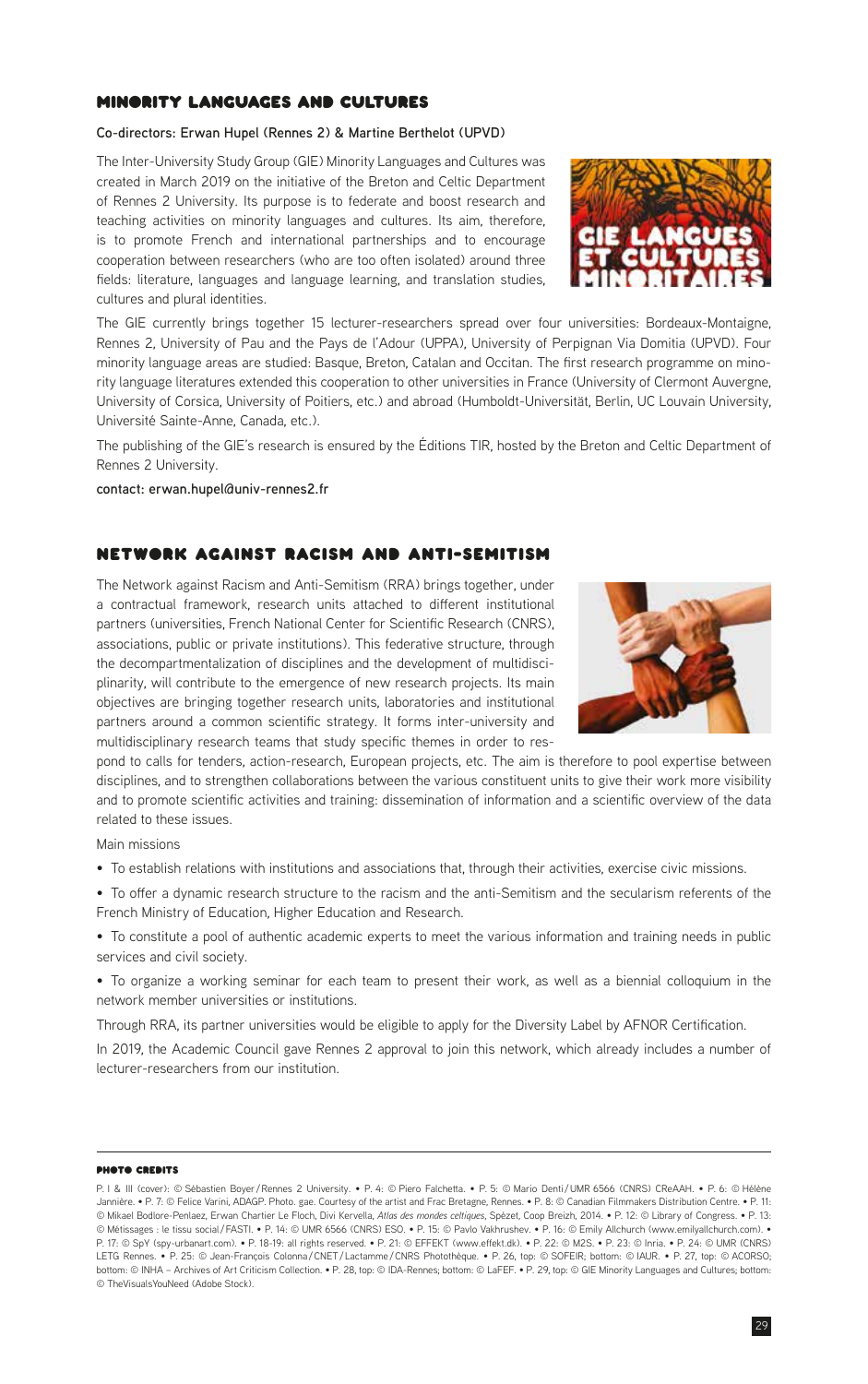29

# MINORITY LANGUAGES AND CULTURES

# **Co-directors: Erwan Hupel (Rennes 2) & Martine Berthelot (UPVD)**

The Inter-University Study Group (GIE) Minority Languages and Cultures was created in March 2019 on the initiative of the Breton and Celtic Department of Rennes 2 University. Its purpose is to federate and boost research and teaching activities on minority languages and cultures. Its aim, therefore, is to promote French and international partnerships and to encourage cooperation between researchers (who are too often isolated) around three fields: literature, languages and language learning, and translation studies, cultures and plural identities.

The GIE currently brings together 15 lecturer-researchers spread over four universities: Bordeaux-Montaigne, Rennes 2, University of Pau and the Pays de l'Adour (UPPA), University of Perpignan Via Domitia (UPVD). Four minority language areas are studied: Basque, Breton, Catalan and Occitan. The first research programme on minority language literatures extended this cooperation to other universities in France (University of Clermont Auvergne, University of Corsica, University of Poitiers, etc.) and abroad (Humboldt-Universität, Berlin, UC Louvain University, Université Sainte-Anne, Canada, etc.).

The publishing of the GIE's research is ensured by the Éditions TIR, hosted by the Breton and Celtic Department of Rennes 2 University.

**contact: erwan.hupel@univ-rennes2.fr**

# Network against Racism and Anti-Semitism

The Network against Racism and Anti-Semitism (RRA) brings together, under a contractual framework, research units attached to different institutional partners (universities, French National Center for Scientific Research (CNRS), associations, public or private institutions). This federative structure, through the decompartmentalization of disciplines and the development of multidisciplinarity, will contribute to the emergence of new research projects. Its main objectives are bringing together research units, laboratories and institutional partners around a common scientific strategy. It forms inter-university and multidisciplinary research teams that study specific themes in order to res-

pond to calls for tenders, action-research, European projects, etc. The aim is therefore to pool expertise between disciplines, and to strengthen collaborations between the various constituent units to give their work more visibility and to promote scientific activities and training: dissemination of information and a scientific overview of the data related to these issues.

Main missions

- To establish relations with institutions and associations that, through their activities, exercise civic missions.
- To offer a dynamic research structure to the racism and the anti-Semitism and the secularism referents of the French Ministry of Education, Higher Education and Research.
- To constitute a pool of authentic academic experts to meet the various information and training needs in public services and civil society.
- To organize a working seminar for each team to present their work, as well as a biennial colloquium in the network member universities or institutions.

Through RRA, its partner universities would be eligible to apply for the Diversity Label by AFNOR Certification.

In 2019, the Academic Council gave Rennes 2 approval to join this network, which already includes a number of lecturer-researchers from our institution.

# photo credits





P. I & III (cover): © Sébastien Boyer /Rennes 2 University. • P. 4: © Piero Falchetta. • P. 5: © Mario Denti /UMR 6566 (CNRS) CReAAH. • P. 6: © Hélène Jannière. • P. 7: © Felice Varini, ADAGP. Photo. gae. Courtesy of the artist and Frac Bretagne, Rennes. • P. 8: © Canadian Filmmakers Distribution Centre. • P. 11: © Mikael Bodlore-Penlaez, Erwan Chartier Le Floch, Divi Kervella, *Atlas des mondes celtiques*, Spézet, Coop Breizh, 2014. • P. 12: © Library of Congress. • P. 13: © Métissages : le tissu social/FASTI. • P. 14: © UMR 6566 (CNRS) ESO. • P. 15: © Pavlo Vakhrushev. • P. 16: © Emily Allchurch (www.emilyallchurch.com). •<br>P. 17: © SpY (spy-urbanart.com). • P. 18-19: all rights reserved. • LETG Rennes. • P. 25: © Jean-François Colonna / CNET / Lactamme / CNRS Photothèque. • P. 26, top: © SOFEIR; bottom: © IAUR. • P. 27, top: © ACORSO; bottom: © INHA – Archives of Art Criticism Collection. • P. 28, top: © IDA-Rennes; bottom: © LaFEF. • P. 29, top: © GIE Minority Languages and Cultures; bottom: © TheVisualsYouNeed (Adobe Stock).